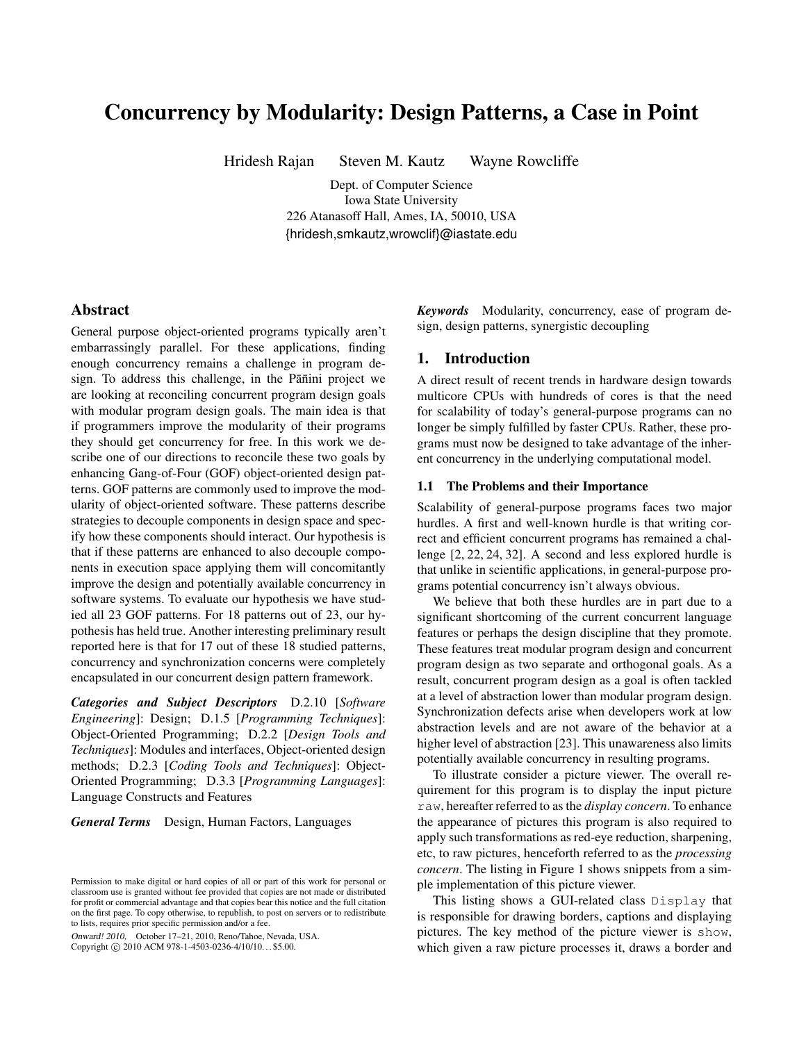# Concurrency by Modularity: Design Patterns, a Case in Point

Hridesh Rajan Steven M. Kautz Wayne Rowcliffe

Dept. of Computer Science Iowa State University 226 Atanasoff Hall, Ames, IA, 50010, USA {hridesh,smkautz,wrowclif}@iastate.edu

## Abstract

General purpose object-oriented programs typically aren't embarrassingly parallel. For these applications, finding enough concurrency remains a challenge in program design. To address this challenge, in the Panini project we are looking at reconciling concurrent program design goals with modular program design goals. The main idea is that if programmers improve the modularity of their programs they should get concurrency for free. In this work we describe one of our directions to reconcile these two goals by enhancing Gang-of-Four (GOF) object-oriented design patterns. GOF patterns are commonly used to improve the modularity of object-oriented software. These patterns describe strategies to decouple components in design space and specify how these components should interact. Our hypothesis is that if these patterns are enhanced to also decouple components in execution space applying them will concomitantly improve the design and potentially available concurrency in software systems. To evaluate our hypothesis we have studied all 23 GOF patterns. For 18 patterns out of 23, our hypothesis has held true. Another interesting preliminary result reported here is that for 17 out of these 18 studied patterns, concurrency and synchronization concerns were completely encapsulated in our concurrent design pattern framework.

*Categories and Subject Descriptors* D.2.10 [*Software Engineering*]: Design; D.1.5 [*Programming Techniques*]: Object-Oriented Programming; D.2.2 [*Design Tools and Techniques*]: Modules and interfaces, Object-oriented design methods; D.2.3 [*Coding Tools and Techniques*]: Object-Oriented Programming; D.3.3 [*Programming Languages*]: Language Constructs and Features

*General Terms* Design, Human Factors, Languages

Onward! 2010, October 17–21, 2010, Reno/Tahoe, Nevada, USA. Copyright © 2010 ACM 978-1-4503-0236-4/10/10... \$5.00.

*Keywords* Modularity, concurrency, ease of program design, design patterns, synergistic decoupling

## 1. Introduction

A direct result of recent trends in hardware design towards multicore CPUs with hundreds of cores is that the need for scalability of today's general-purpose programs can no longer be simply fulfilled by faster CPUs. Rather, these programs must now be designed to take advantage of the inherent concurrency in the underlying computational model.

#### 1.1 The Problems and their Importance

Scalability of general-purpose programs faces two major hurdles. A first and well-known hurdle is that writing correct and efficient concurrent programs has remained a challenge [2, 22, 24, 32]. A second and less explored hurdle is that unlike in scientific applications, in general-purpose programs potential concurrency isn't always obvious.

We believe that both these hurdles are in part due to a significant shortcoming of the current concurrent language features or perhaps the design discipline that they promote. These features treat modular program design and concurrent program design as two separate and orthogonal goals. As a result, concurrent program design as a goal is often tackled at a level of abstraction lower than modular program design. Synchronization defects arise when developers work at low abstraction levels and are not aware of the behavior at a higher level of abstraction [23]. This unawareness also limits potentially available concurrency in resulting programs.

To illustrate consider a picture viewer. The overall requirement for this program is to display the input picture raw, hereafter referred to as the *display concern*. To enhance the appearance of pictures this program is also required to apply such transformations as red-eye reduction, sharpening, etc, to raw pictures, henceforth referred to as the *processing concern*. The listing in Figure 1 shows snippets from a simple implementation of this picture viewer.

This listing shows a GUI-related class Display that is responsible for drawing borders, captions and displaying pictures. The key method of the picture viewer is show, which given a raw picture processes it, draws a border and

Permission to make digital or hard copies of all or part of this work for personal or classroom use is granted without fee provided that copies are not made or distributed for profit or commercial advantage and that copies bear this notice and the full citation on the first page. To copy otherwise, to republish, to post on servers or to redistribute to lists, requires prior specific permission and/or a fee.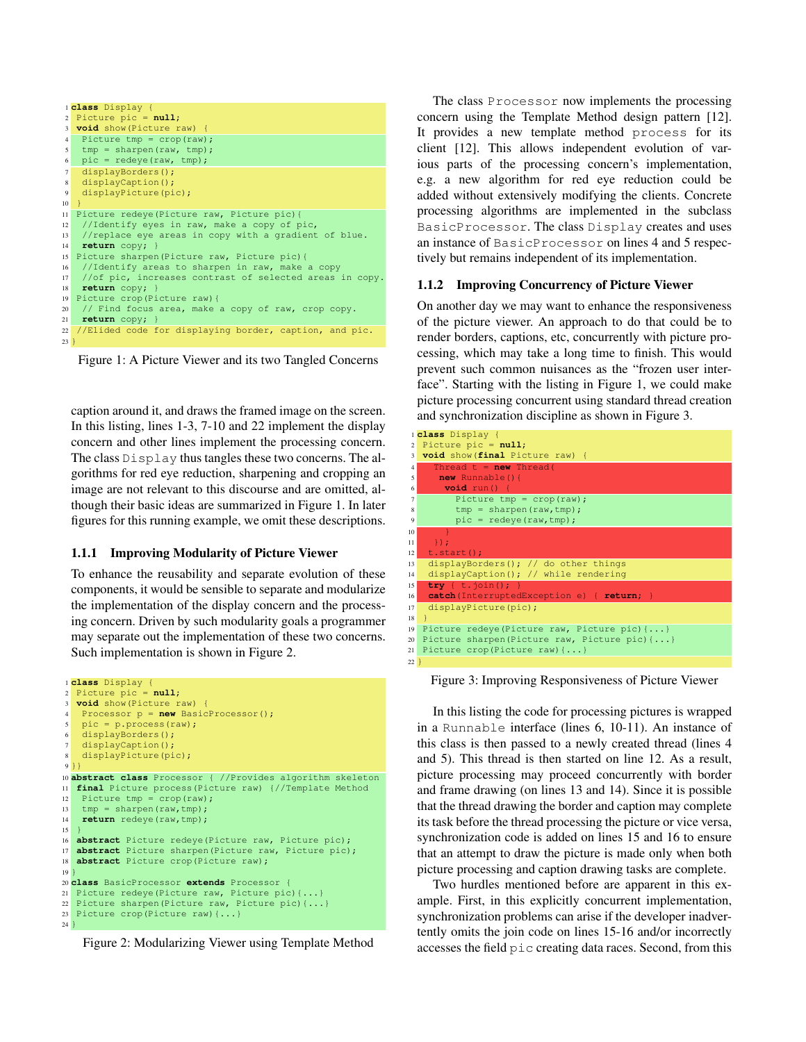|                 | 1 class Display {                                         |
|-----------------|-----------------------------------------------------------|
|                 | 2 Picture pic = $null;$                                   |
|                 | 3 <b>void</b> show (Picture raw) {                        |
| $\overline{4}$  | Picture tmp = $\text{crop}(\text{raw})$ ;                 |
| 5               | $tmp = sharper(raw, tmp);$                                |
| 6               | $pic = redeye(raw, tmp);$                                 |
| 7 <sup>1</sup>  | displayBorders();                                         |
| 8 <sup>1</sup>  | displayCaption();                                         |
| 9               | displayPicture(pic);                                      |
| 10 <sup>1</sup> |                                                           |
|                 | Il Picture redeye (Picture raw, Picture pic) {            |
| 12              | //Identify eyes in raw, make a copy of pic,               |
| 13              | //replace eye areas in copy with a gradient of blue.      |
| 14              | return copy; }                                            |
|                 | 15 Picture sharpen (Picture raw, Picture pic) {           |
|                 | 16 //Identify areas to sharpen in raw, make a copy        |
| 17              | //of pic, increases contrast of selected areas in copy.   |
| 18              | return copy; }                                            |
| 19              | Picture crop (Picture raw) {                              |
| 20              | // Find focus area, make a copy of raw, crop copy.        |
| 21              | return copy; }                                            |
|                 | 22 //Elided code for displaying border, caption, and pic. |
| $23$ }          |                                                           |

Figure 1: A Picture Viewer and its two Tangled Concerns

caption around it, and draws the framed image on the screen. In this listing, lines 1-3, 7-10 and 22 implement the display concern and other lines implement the processing concern. The class Display thus tangles these two concerns. The algorithms for red eye reduction, sharpening and cropping an image are not relevant to this discourse and are omitted, although their basic ideas are summarized in Figure 1. In later figures for this running example, we omit these descriptions.

#### 1.1.1 Improving Modularity of Picture Viewer

To enhance the reusability and separate evolution of these components, it would be sensible to separate and modularize the implementation of the display concern and the processing concern. Driven by such modularity goals a programmer may separate out the implementation of these two concerns. Such implementation is shown in Figure 2.

```
1 class Display {
2 Picture pic = null;
  void show(Picture raw) {
   Processor p = new BasicProcessor();
   pic = p.process(raw);
   displayBorders();
   displayCaption();
   displayPicture(pic);
0 }<sup>}</sup>
10 abstract class Processor { //Provides algorithm skeleton
11 final Picture process(Picture raw) {//Template Method
12 Picture tmp = crop(raw);13 tmp = sharpen(raw,tmp);
   return redeye(raw, tmp);
15 }
16 abstract Picture redeye(Picture raw, Picture pic);
17 abstract Picture sharpen(Picture raw, Picture pic);
18 abstract Picture crop(Picture raw);
19 }
20 class BasicProcessor extends Processor {
21 Picture redeye(Picture raw, Picture pic){...}
22 Picture sharpen(Picture raw, Picture pic){...}
23 Picture crop(Picture raw){...}
24
```
Figure 2: Modularizing Viewer using Template Method

The class Processor now implements the processing concern using the Template Method design pattern [12]. It provides a new template method process for its client [12]. This allows independent evolution of various parts of the processing concern's implementation, e.g. a new algorithm for red eye reduction could be added without extensively modifying the clients. Concrete processing algorithms are implemented in the subclass BasicProcessor. The class Display creates and uses an instance of BasicProcessor on lines 4 and 5 respectively but remains independent of its implementation.

#### 1.1.2 Improving Concurrency of Picture Viewer

On another day we may want to enhance the responsiveness of the picture viewer. An approach to do that could be to render borders, captions, etc, concurrently with picture processing, which may take a long time to finish. This would prevent such common nuisances as the "frozen user interface". Starting with the listing in Figure 1, we could make picture processing concurrent using standard thread creation and synchronization discipline as shown in Figure 3.

|                 | 1 class Display {                                         |  |  |  |  |  |  |
|-----------------|-----------------------------------------------------------|--|--|--|--|--|--|
| $\mathfrak{D}$  | Picture pic = $null;$                                     |  |  |  |  |  |  |
| 3               | void show (final Picture raw) {                           |  |  |  |  |  |  |
| $\overline{4}$  | Thread $t = new Thread($                                  |  |  |  |  |  |  |
| 5               | $new$ Runnable () {                                       |  |  |  |  |  |  |
| 6               | <b>void</b> run() {                                       |  |  |  |  |  |  |
| $\tau$          | Picture tmp = $\text{crop}(\text{raw})$ ;                 |  |  |  |  |  |  |
| 8               | $tmp = sharper(raw,tmp);$                                 |  |  |  |  |  |  |
| 9               | $pic = redeye(max,tmp);$                                  |  |  |  |  |  |  |
| 10              |                                                           |  |  |  |  |  |  |
| 11              | $\rightarrow$                                             |  |  |  |  |  |  |
| 12              | $t.start()$ ;                                             |  |  |  |  |  |  |
| 13 <sup>°</sup> | displayBorders(); $//$ do other things                    |  |  |  |  |  |  |
| 14 <sup>°</sup> | displayCaption(); $//$ while rendering                    |  |  |  |  |  |  |
| 15 <sup>1</sup> | $try { t. join(); }$                                      |  |  |  |  |  |  |
| 16              | catch (InterruptedException e) { return; }                |  |  |  |  |  |  |
| 17 <sup>1</sup> | displayPicture(pic);                                      |  |  |  |  |  |  |
| 18              | ł                                                         |  |  |  |  |  |  |
| 19              | Picture redeye (Picture raw, Picture pic) {}              |  |  |  |  |  |  |
| 20 <sup>1</sup> | Picture sharpen (Picture raw, Picture pic) $\{ \ldots \}$ |  |  |  |  |  |  |
| 21              | Picture crop (Picture raw) $\{ \ldots \}$                 |  |  |  |  |  |  |
| 22 }            |                                                           |  |  |  |  |  |  |

Figure 3: Improving Responsiveness of Picture Viewer

In this listing the code for processing pictures is wrapped in a Runnable interface (lines 6, 10-11). An instance of this class is then passed to a newly created thread (lines 4 and 5). This thread is then started on line 12. As a result, picture processing may proceed concurrently with border and frame drawing (on lines 13 and 14). Since it is possible that the thread drawing the border and caption may complete its task before the thread processing the picture or vice versa, synchronization code is added on lines 15 and 16 to ensure that an attempt to draw the picture is made only when both picture processing and caption drawing tasks are complete.

Two hurdles mentioned before are apparent in this example. First, in this explicitly concurrent implementation, synchronization problems can arise if the developer inadvertently omits the join code on lines 15-16 and/or incorrectly accesses the field pic creating data races. Second, from this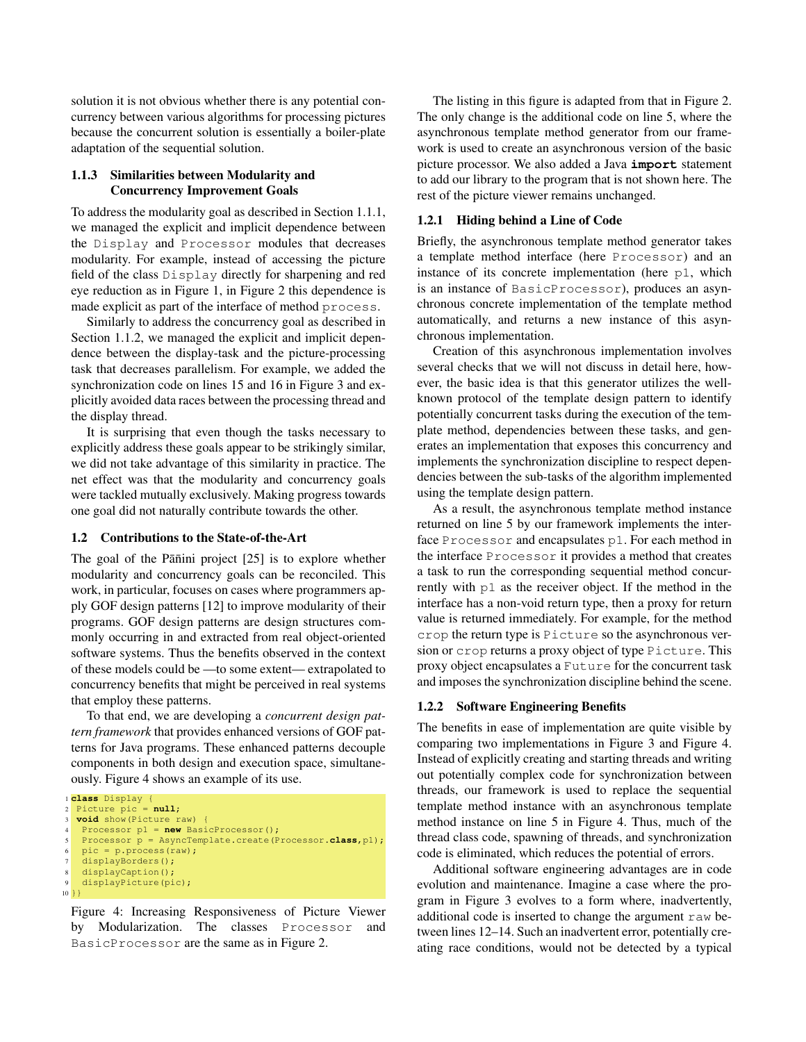solution it is not obvious whether there is any potential concurrency between various algorithms for processing pictures because the concurrent solution is essentially a boiler-plate adaptation of the sequential solution.

## 1.1.3 Similarities between Modularity and Concurrency Improvement Goals

To address the modularity goal as described in Section 1.1.1, we managed the explicit and implicit dependence between the Display and Processor modules that decreases modularity. For example, instead of accessing the picture field of the class Display directly for sharpening and red eye reduction as in Figure 1, in Figure 2 this dependence is made explicit as part of the interface of method process.

Similarly to address the concurrency goal as described in Section 1.1.2, we managed the explicit and implicit dependence between the display-task and the picture-processing task that decreases parallelism. For example, we added the synchronization code on lines 15 and 16 in Figure 3 and explicitly avoided data races between the processing thread and the display thread.

It is surprising that even though the tasks necessary to explicitly address these goals appear to be strikingly similar, we did not take advantage of this similarity in practice. The net effect was that the modularity and concurrency goals were tackled mutually exclusively. Making progress towards one goal did not naturally contribute towards the other.

## 1.2 Contributions to the State-of-the-Art

The goal of the Pa $\bar{n}$ ini project [25] is to explore whether modularity and concurrency goals can be reconciled. This work, in particular, focuses on cases where programmers apply GOF design patterns [12] to improve modularity of their programs. GOF design patterns are design structures commonly occurring in and extracted from real object-oriented software systems. Thus the benefits observed in the context of these models could be —to some extent— extrapolated to concurrency benefits that might be perceived in real systems that employ these patterns.

To that end, we are developing a *concurrent design pattern framework* that provides enhanced versions of GOF patterns for Java programs. These enhanced patterns decouple components in both design and execution space, simultaneously. Figure 4 shows an example of its use.

```
1 class Display {
  Picture pic = null;void show(Picture raw) {
   Processor p1 = new BasicProcessor();
   5 Processor p = AsyncTemplate.create(Processor.class,p1);
   pic = p.process(raw);displayBorders();
   displayCaption();
   displayPicture(pic);
10 }}
```
Figure 4: Increasing Responsiveness of Picture Viewer by Modularization. The classes Processor and BasicProcessor are the same as in Figure 2.

The listing in this figure is adapted from that in Figure 2. The only change is the additional code on line 5, where the asynchronous template method generator from our framework is used to create an asynchronous version of the basic picture processor. We also added a Java **import** statement to add our library to the program that is not shown here. The rest of the picture viewer remains unchanged.

## 1.2.1 Hiding behind a Line of Code

Briefly, the asynchronous template method generator takes a template method interface (here Processor) and an instance of its concrete implementation (here p1, which is an instance of BasicProcessor), produces an asynchronous concrete implementation of the template method automatically, and returns a new instance of this asynchronous implementation.

Creation of this asynchronous implementation involves several checks that we will not discuss in detail here, however, the basic idea is that this generator utilizes the wellknown protocol of the template design pattern to identify potentially concurrent tasks during the execution of the template method, dependencies between these tasks, and generates an implementation that exposes this concurrency and implements the synchronization discipline to respect dependencies between the sub-tasks of the algorithm implemented using the template design pattern.

As a result, the asynchronous template method instance returned on line 5 by our framework implements the interface Processor and encapsulates p1. For each method in the interface Processor it provides a method that creates a task to run the corresponding sequential method concurrently with p1 as the receiver object. If the method in the interface has a non-void return type, then a proxy for return value is returned immediately. For example, for the method crop the return type is Picture so the asynchronous version or crop returns a proxy object of type Picture. This proxy object encapsulates a Future for the concurrent task and imposes the synchronization discipline behind the scene.

## 1.2.2 Software Engineering Benefits

The benefits in ease of implementation are quite visible by comparing two implementations in Figure 3 and Figure 4. Instead of explicitly creating and starting threads and writing out potentially complex code for synchronization between threads, our framework is used to replace the sequential template method instance with an asynchronous template method instance on line 5 in Figure 4. Thus, much of the thread class code, spawning of threads, and synchronization code is eliminated, which reduces the potential of errors.

Additional software engineering advantages are in code evolution and maintenance. Imagine a case where the program in Figure 3 evolves to a form where, inadvertently, additional code is inserted to change the argument raw between lines 12–14. Such an inadvertent error, potentially creating race conditions, would not be detected by a typical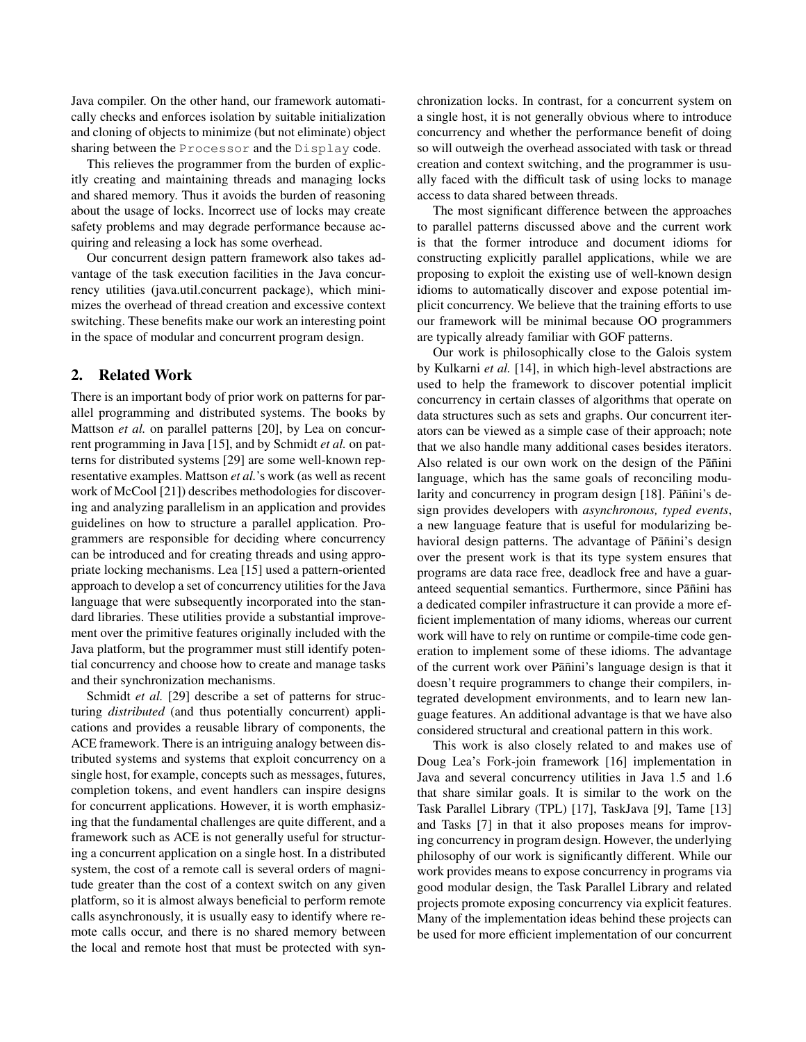Java compiler. On the other hand, our framework automatically checks and enforces isolation by suitable initialization and cloning of objects to minimize (but not eliminate) object sharing between the Processor and the Display code.

This relieves the programmer from the burden of explicitly creating and maintaining threads and managing locks and shared memory. Thus it avoids the burden of reasoning about the usage of locks. Incorrect use of locks may create safety problems and may degrade performance because acquiring and releasing a lock has some overhead.

Our concurrent design pattern framework also takes advantage of the task execution facilities in the Java concurrency utilities (java.util.concurrent package), which minimizes the overhead of thread creation and excessive context switching. These benefits make our work an interesting point in the space of modular and concurrent program design.

## 2. Related Work

There is an important body of prior work on patterns for parallel programming and distributed systems. The books by Mattson *et al.* on parallel patterns [20], by Lea on concurrent programming in Java [15], and by Schmidt *et al.* on patterns for distributed systems [29] are some well-known representative examples. Mattson *et al.*'s work (as well as recent work of McCool [21]) describes methodologies for discovering and analyzing parallelism in an application and provides guidelines on how to structure a parallel application. Programmers are responsible for deciding where concurrency can be introduced and for creating threads and using appropriate locking mechanisms. Lea [15] used a pattern-oriented approach to develop a set of concurrency utilities for the Java language that were subsequently incorporated into the standard libraries. These utilities provide a substantial improvement over the primitive features originally included with the Java platform, but the programmer must still identify potential concurrency and choose how to create and manage tasks and their synchronization mechanisms.

Schmidt *et al.* [29] describe a set of patterns for structuring *distributed* (and thus potentially concurrent) applications and provides a reusable library of components, the ACE framework. There is an intriguing analogy between distributed systems and systems that exploit concurrency on a single host, for example, concepts such as messages, futures, completion tokens, and event handlers can inspire designs for concurrent applications. However, it is worth emphasizing that the fundamental challenges are quite different, and a framework such as ACE is not generally useful for structuring a concurrent application on a single host. In a distributed system, the cost of a remote call is several orders of magnitude greater than the cost of a context switch on any given platform, so it is almost always beneficial to perform remote calls asynchronously, it is usually easy to identify where remote calls occur, and there is no shared memory between the local and remote host that must be protected with synchronization locks. In contrast, for a concurrent system on a single host, it is not generally obvious where to introduce concurrency and whether the performance benefit of doing so will outweigh the overhead associated with task or thread creation and context switching, and the programmer is usually faced with the difficult task of using locks to manage access to data shared between threads.

The most significant difference between the approaches to parallel patterns discussed above and the current work is that the former introduce and document idioms for constructing explicitly parallel applications, while we are proposing to exploit the existing use of well-known design idioms to automatically discover and expose potential implicit concurrency. We believe that the training efforts to use our framework will be minimal because OO programmers are typically already familiar with GOF patterns.

Our work is philosophically close to the Galois system by Kulkarni *et al.* [14], in which high-level abstractions are used to help the framework to discover potential implicit concurrency in certain classes of algorithms that operate on data structures such as sets and graphs. Our concurrent iterators can be viewed as a simple case of their approach; note that we also handle many additional cases besides iterators. Also related is our own work on the design of the Panini language, which has the same goals of reconciling modularity and concurrency in program design [18]. Pāñini's design provides developers with *asynchronous, typed events*, a new language feature that is useful for modularizing behavioral design patterns. The advantage of Pāñini's design over the present work is that its type system ensures that programs are data race free, deadlock free and have a guaranteed sequential semantics. Furthermore, since Panini has a dedicated compiler infrastructure it can provide a more efficient implementation of many idioms, whereas our current work will have to rely on runtime or compile-time code generation to implement some of these idioms. The advantage of the current work over Panini's language design is that it doesn't require programmers to change their compilers, integrated development environments, and to learn new language features. An additional advantage is that we have also considered structural and creational pattern in this work.

This work is also closely related to and makes use of Doug Lea's Fork-join framework [16] implementation in Java and several concurrency utilities in Java 1.5 and 1.6 that share similar goals. It is similar to the work on the Task Parallel Library (TPL) [17], TaskJava [9], Tame [13] and Tasks [7] in that it also proposes means for improving concurrency in program design. However, the underlying philosophy of our work is significantly different. While our work provides means to expose concurrency in programs via good modular design, the Task Parallel Library and related projects promote exposing concurrency via explicit features. Many of the implementation ideas behind these projects can be used for more efficient implementation of our concurrent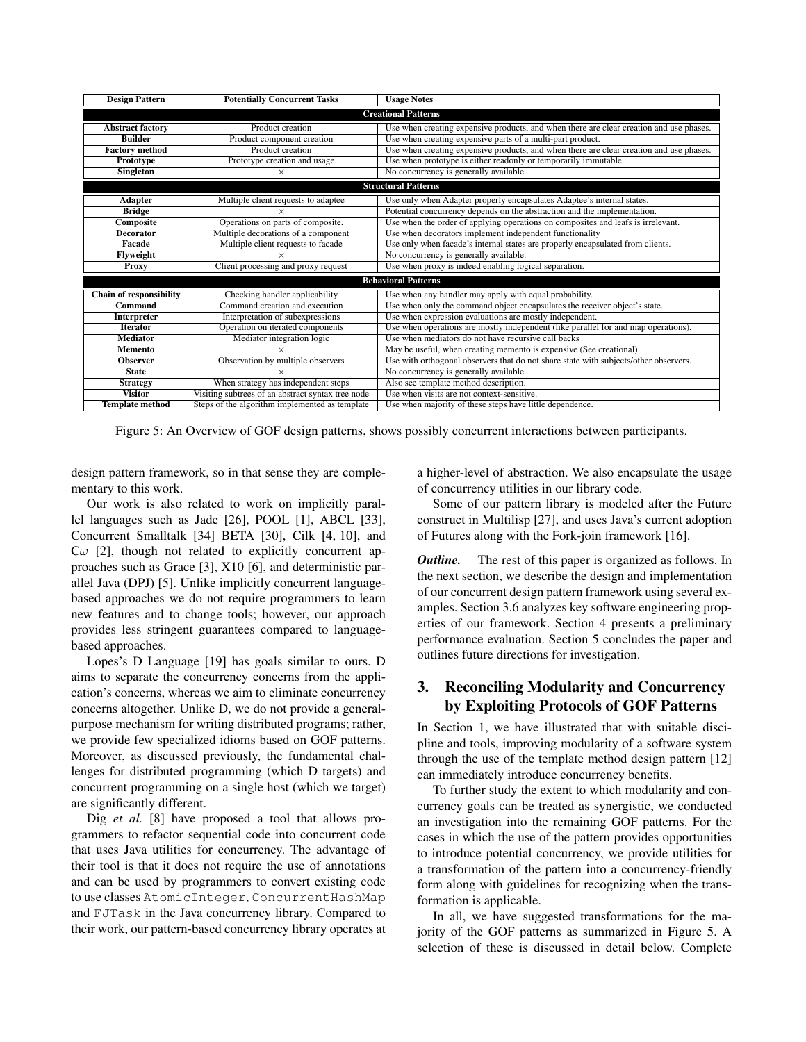| <b>Design Pattern</b>                                                    | <b>Potentially Concurrent Tasks</b>                                                                           | <b>Usage Notes</b>                                                                      |  |  |  |  |  |  |
|--------------------------------------------------------------------------|---------------------------------------------------------------------------------------------------------------|-----------------------------------------------------------------------------------------|--|--|--|--|--|--|
| <b>Creational Patterns</b>                                               |                                                                                                               |                                                                                         |  |  |  |  |  |  |
| <b>Abstract factory</b><br>Product creation                              |                                                                                                               | Use when creating expensive products, and when there are clear creation and use phases. |  |  |  |  |  |  |
| <b>Builder</b>                                                           | Product component creation                                                                                    | Use when creating expensive parts of a multi-part product.                              |  |  |  |  |  |  |
| <b>Factory method</b>                                                    | Product creation                                                                                              | Use when creating expensive products, and when there are clear creation and use phases. |  |  |  |  |  |  |
| Prototype                                                                | Prototype creation and usage                                                                                  | Use when prototype is either readonly or temporarily immutable.                         |  |  |  |  |  |  |
| <b>Singleton</b><br>X                                                    |                                                                                                               | No concurrency is generally available.                                                  |  |  |  |  |  |  |
| <b>Structural Patterns</b>                                               |                                                                                                               |                                                                                         |  |  |  |  |  |  |
| <b>Adapter</b>                                                           | Use only when Adapter properly encapsulates Adaptee's internal states.<br>Multiple client requests to adaptee |                                                                                         |  |  |  |  |  |  |
| <b>Bridge</b>                                                            | $\times$                                                                                                      | Potential concurrency depends on the abstraction and the implementation.                |  |  |  |  |  |  |
| Composite                                                                | Operations on parts of composite.                                                                             | Use when the order of applying operations on composites and leafs is irrelevant.        |  |  |  |  |  |  |
| <b>Decorator</b>                                                         | Multiple decorations of a component                                                                           | Use when decorators implement independent functionality                                 |  |  |  |  |  |  |
| Facade                                                                   | Multiple client requests to facade                                                                            | Use only when facade's internal states are properly encapsulated from clients.          |  |  |  |  |  |  |
| Flyweight                                                                | $\times$                                                                                                      | No concurrency is generally available.                                                  |  |  |  |  |  |  |
| <b>Proxy</b>                                                             | Client processing and proxy request                                                                           | Use when proxy is indeed enabling logical separation.                                   |  |  |  |  |  |  |
| <b>Behavioral Patterns</b>                                               |                                                                                                               |                                                                                         |  |  |  |  |  |  |
| <b>Chain of responsibility</b><br>Checking handler applicability         |                                                                                                               | Use when any handler may apply with equal probability.                                  |  |  |  |  |  |  |
| Command                                                                  | Command creation and execution                                                                                | Use when only the command object encapsulates the receiver object's state.              |  |  |  |  |  |  |
| Interpreter                                                              | Interpretation of subexpressions                                                                              | Use when expression evaluations are mostly independent.                                 |  |  |  |  |  |  |
| <b>Iterator</b>                                                          | Operation on iterated components                                                                              | Use when operations are mostly independent (like parallel for and map operations).      |  |  |  |  |  |  |
| <b>Mediator</b>                                                          | Mediator integration logic                                                                                    | Use when mediators do not have recursive call backs                                     |  |  |  |  |  |  |
| <b>Memento</b>                                                           | $\times$                                                                                                      | May be useful, when creating memento is expensive (See creational).                     |  |  |  |  |  |  |
| <b>Observer</b>                                                          | Observation by multiple observers                                                                             | Use with orthogonal observers that do not share state with subjects/other observers.    |  |  |  |  |  |  |
| <b>State</b>                                                             | $\times$                                                                                                      | No concurrency is generally available.                                                  |  |  |  |  |  |  |
| <b>Strategy</b>                                                          | When strategy has independent steps                                                                           | Also see template method description.                                                   |  |  |  |  |  |  |
| <b>Visitor</b><br>Visiting subtrees of an abstract syntax tree node      |                                                                                                               | Use when visits are not context-sensitive.                                              |  |  |  |  |  |  |
| Steps of the algorithm implemented as template<br><b>Template method</b> |                                                                                                               | Use when majority of these steps have little dependence.                                |  |  |  |  |  |  |

Figure 5: An Overview of GOF design patterns, shows possibly concurrent interactions between participants.

design pattern framework, so in that sense they are complementary to this work.

Our work is also related to work on implicitly parallel languages such as Jade [26], POOL [1], ABCL [33], Concurrent Smalltalk [34] BETA [30], Cilk [4, 10], and  $C\omega$  [2], though not related to explicitly concurrent approaches such as Grace [3], X10 [6], and deterministic parallel Java (DPJ) [5]. Unlike implicitly concurrent languagebased approaches we do not require programmers to learn new features and to change tools; however, our approach provides less stringent guarantees compared to languagebased approaches.

Lopes's D Language [19] has goals similar to ours. D aims to separate the concurrency concerns from the application's concerns, whereas we aim to eliminate concurrency concerns altogether. Unlike D, we do not provide a generalpurpose mechanism for writing distributed programs; rather, we provide few specialized idioms based on GOF patterns. Moreover, as discussed previously, the fundamental challenges for distributed programming (which D targets) and concurrent programming on a single host (which we target) are significantly different.

Dig *et al.* [8] have proposed a tool that allows programmers to refactor sequential code into concurrent code that uses Java utilities for concurrency. The advantage of their tool is that it does not require the use of annotations and can be used by programmers to convert existing code to use classes AtomicInteger, ConcurrentHashMap and FJTask in the Java concurrency library. Compared to their work, our pattern-based concurrency library operates at a higher-level of abstraction. We also encapsulate the usage of concurrency utilities in our library code.

Some of our pattern library is modeled after the Future construct in Multilisp [27], and uses Java's current adoption of Futures along with the Fork-join framework [16].

*Outline.* The rest of this paper is organized as follows. In the next section, we describe the design and implementation of our concurrent design pattern framework using several examples. Section 3.6 analyzes key software engineering properties of our framework. Section 4 presents a preliminary performance evaluation. Section 5 concludes the paper and outlines future directions for investigation.

# 3. Reconciling Modularity and Concurrency by Exploiting Protocols of GOF Patterns

In Section 1, we have illustrated that with suitable discipline and tools, improving modularity of a software system through the use of the template method design pattern [12] can immediately introduce concurrency benefits.

To further study the extent to which modularity and concurrency goals can be treated as synergistic, we conducted an investigation into the remaining GOF patterns. For the cases in which the use of the pattern provides opportunities to introduce potential concurrency, we provide utilities for a transformation of the pattern into a concurrency-friendly form along with guidelines for recognizing when the transformation is applicable.

In all, we have suggested transformations for the majority of the GOF patterns as summarized in Figure 5. A selection of these is discussed in detail below. Complete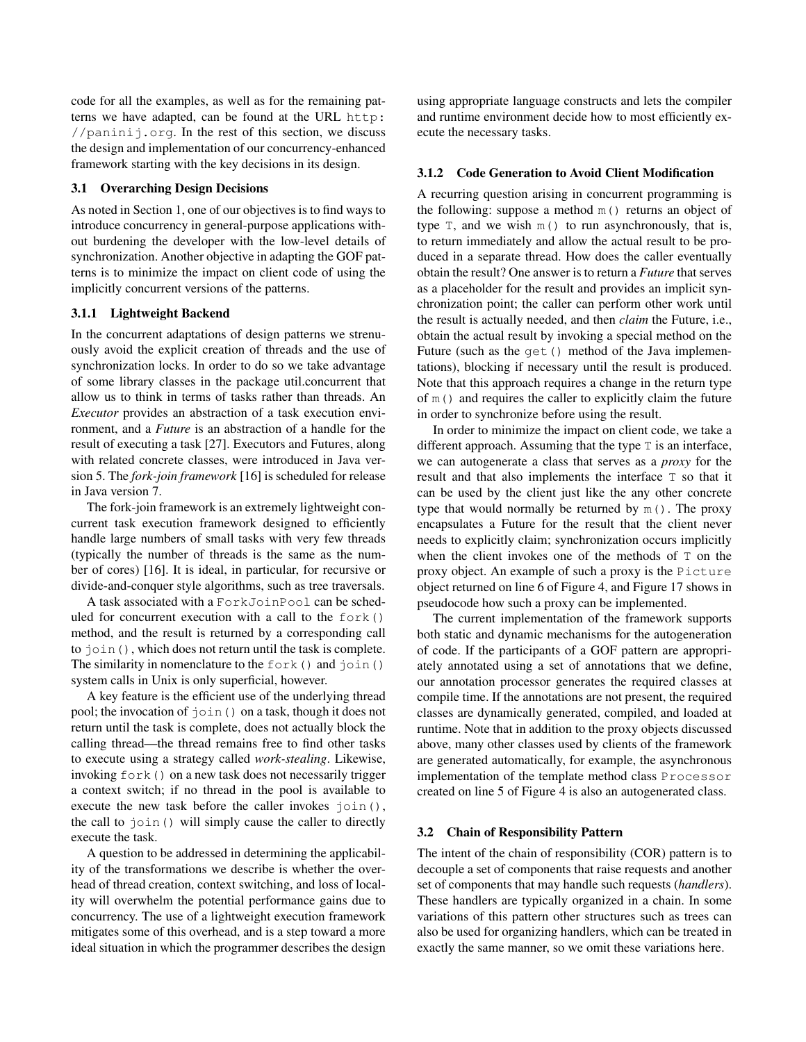code for all the examples, as well as for the remaining patterns we have adapted, can be found at the URL http: //paninij.org. In the rest of this section, we discuss the design and implementation of our concurrency-enhanced framework starting with the key decisions in its design.

#### 3.1 Overarching Design Decisions

As noted in Section 1, one of our objectives is to find ways to introduce concurrency in general-purpose applications without burdening the developer with the low-level details of synchronization. Another objective in adapting the GOF patterns is to minimize the impact on client code of using the implicitly concurrent versions of the patterns.

#### 3.1.1 Lightweight Backend

In the concurrent adaptations of design patterns we strenuously avoid the explicit creation of threads and the use of synchronization locks. In order to do so we take advantage of some library classes in the package util.concurrent that allow us to think in terms of tasks rather than threads. An *Executor* provides an abstraction of a task execution environment, and a *Future* is an abstraction of a handle for the result of executing a task [27]. Executors and Futures, along with related concrete classes, were introduced in Java version 5. The *fork-join framework* [16] is scheduled for release in Java version 7.

The fork-join framework is an extremely lightweight concurrent task execution framework designed to efficiently handle large numbers of small tasks with very few threads (typically the number of threads is the same as the number of cores) [16]. It is ideal, in particular, for recursive or divide-and-conquer style algorithms, such as tree traversals.

A task associated with a ForkJoinPool can be scheduled for concurrent execution with a call to the  $f \circ r k$  () method, and the result is returned by a corresponding call to join(), which does not return until the task is complete. The similarity in nomenclature to the  $f \circ r k$  () and  $j \circ i n$  () system calls in Unix is only superficial, however.

A key feature is the efficient use of the underlying thread pool; the invocation of join() on a task, though it does not return until the task is complete, does not actually block the calling thread—the thread remains free to find other tasks to execute using a strategy called *work-stealing*. Likewise, invoking fork() on a new task does not necessarily trigger a context switch; if no thread in the pool is available to execute the new task before the caller invokes  $\overline{\text{join}}()$ , the call to join() will simply cause the caller to directly execute the task.

A question to be addressed in determining the applicability of the transformations we describe is whether the overhead of thread creation, context switching, and loss of locality will overwhelm the potential performance gains due to concurrency. The use of a lightweight execution framework mitigates some of this overhead, and is a step toward a more ideal situation in which the programmer describes the design using appropriate language constructs and lets the compiler and runtime environment decide how to most efficiently execute the necessary tasks.

#### 3.1.2 Code Generation to Avoid Client Modification

A recurring question arising in concurrent programming is the following: suppose a method m() returns an object of type T, and we wish m() to run asynchronously, that is, to return immediately and allow the actual result to be produced in a separate thread. How does the caller eventually obtain the result? One answer is to return a *Future* that serves as a placeholder for the result and provides an implicit synchronization point; the caller can perform other work until the result is actually needed, and then *claim* the Future, i.e., obtain the actual result by invoking a special method on the Future (such as the get () method of the Java implementations), blocking if necessary until the result is produced. Note that this approach requires a change in the return type of m() and requires the caller to explicitly claim the future in order to synchronize before using the result.

In order to minimize the impact on client code, we take a different approach. Assuming that the type T is an interface, we can autogenerate a class that serves as a *proxy* for the result and that also implements the interface T so that it can be used by the client just like the any other concrete type that would normally be returned by m(). The proxy encapsulates a Future for the result that the client never needs to explicitly claim; synchronization occurs implicitly when the client invokes one of the methods of T on the proxy object. An example of such a proxy is the Picture object returned on line 6 of Figure 4, and Figure 17 shows in pseudocode how such a proxy can be implemented.

The current implementation of the framework supports both static and dynamic mechanisms for the autogeneration of code. If the participants of a GOF pattern are appropriately annotated using a set of annotations that we define, our annotation processor generates the required classes at compile time. If the annotations are not present, the required classes are dynamically generated, compiled, and loaded at runtime. Note that in addition to the proxy objects discussed above, many other classes used by clients of the framework are generated automatically, for example, the asynchronous implementation of the template method class Processor created on line 5 of Figure 4 is also an autogenerated class.

#### 3.2 Chain of Responsibility Pattern

The intent of the chain of responsibility (COR) pattern is to decouple a set of components that raise requests and another set of components that may handle such requests (*handlers*). These handlers are typically organized in a chain. In some variations of this pattern other structures such as trees can also be used for organizing handlers, which can be treated in exactly the same manner, so we omit these variations here.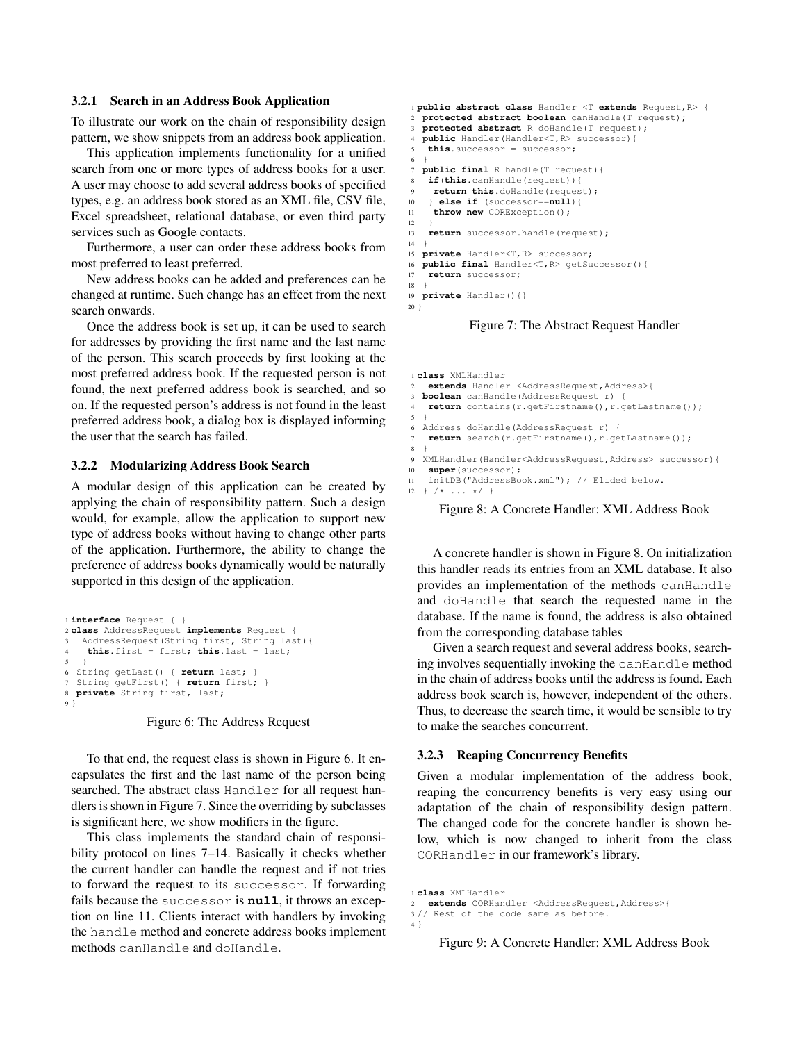## 3.2.1 Search in an Address Book Application

To illustrate our work on the chain of responsibility design pattern, we show snippets from an address book application.

This application implements functionality for a unified search from one or more types of address books for a user. A user may choose to add several address books of specified types, e.g. an address book stored as an XML file, CSV file, Excel spreadsheet, relational database, or even third party services such as Google contacts.

Furthermore, a user can order these address books from most preferred to least preferred.

New address books can be added and preferences can be changed at runtime. Such change has an effect from the next search onwards.

Once the address book is set up, it can be used to search for addresses by providing the first name and the last name of the person. This search proceeds by first looking at the most preferred address book. If the requested person is not found, the next preferred address book is searched, and so on. If the requested person's address is not found in the least preferred address book, a dialog box is displayed informing the user that the search has failed.

#### 3.2.2 Modularizing Address Book Search

A modular design of this application can be created by applying the chain of responsibility pattern. Such a design would, for example, allow the application to support new type of address books without having to change other parts of the application. Furthermore, the ability to change the preference of address books dynamically would be naturally supported in this design of the application.

```
1 interface Request { }
2 class AddressRequest implements Request {
3 AddressRequest(String first, String last){
    4 this.first = first; this.last = last;
  \overline{1}6 String getLast() { return last; }
7 String getFirst() { return first; }
8 private String first, last;
9 }
```
Figure 6: The Address Request

To that end, the request class is shown in Figure 6. It encapsulates the first and the last name of the person being searched. The abstract class Handler for all request handlers is shown in Figure 7. Since the overriding by subclasses is significant here, we show modifiers in the figure.

This class implements the standard chain of responsibility protocol on lines 7–14. Basically it checks whether the current handler can handle the request and if not tries to forward the request to its successor. If forwarding fails because the successor is **null**, it throws an exception on line 11. Clients interact with handlers by invoking the handle method and concrete address books implement methods canHandle and doHandle.

```
1 public abstract class Handler <T extends Request,R> {
  protected abstract boolean canHandle(T request);
  3 protected abstract R doHandle(T request);
  public Handler(Handler<T, R> successor) {
   5 this.successor = successor;
6 }
  7 public final R handle(T request){
8 if(this.canHandle(request)){
9 return this.doHandle(request);<br>10 } else if (successor==null){
    10 } else if (successor==null){
11 throw new CORException();
1213 return successor.handle(request);
14 \quad \frac{1}{2}15 private Handler<T,R> successor;
16 public final Handler<T,R> getSuccessor(){
17 return successor;
18 }
19 private Handler(){}
20 }
```
Figure 7: The Abstract Request Handler

```
1 class XMLHandler
2 extends Handler <AddressRequest,Address>{
  boolean canHandle(AddressRequest r) {
4 return contains(r.getFirstname(),r.getLastname());
5 }
6 Address doHandle(AddressRequest r) {
7 return search(r.getFirstname(),r.getLastname());
8 }
9 XMLHandler(Handler<AddressRequest,Address> successor){
10 super(successor);
11 initDB("AddressBook.xml"); // Elided below.
12 \} / * \ldots * / \}
```
Figure 8: A Concrete Handler: XML Address Book

A concrete handler is shown in Figure 8. On initialization this handler reads its entries from an XML database. It also provides an implementation of the methods canHandle and doHandle that search the requested name in the database. If the name is found, the address is also obtained from the corresponding database tables

Given a search request and several address books, searching involves sequentially invoking the canHandle method in the chain of address books until the address is found. Each address book search is, however, independent of the others. Thus, to decrease the search time, it would be sensible to try to make the searches concurrent.

#### 3.2.3 Reaping Concurrency Benefits

Given a modular implementation of the address book, reaping the concurrency benefits is very easy using our adaptation of the chain of responsibility design pattern. The changed code for the concrete handler is shown below, which is now changed to inherit from the class CORHandler in our framework's library.

```
1 class XMLHandler
```

```
2 extends CORHandler <AddressRequest,Address>{
```

```
3 // Rest of the code same as before.
4 }
```
Figure 9: A Concrete Handler: XML Address Book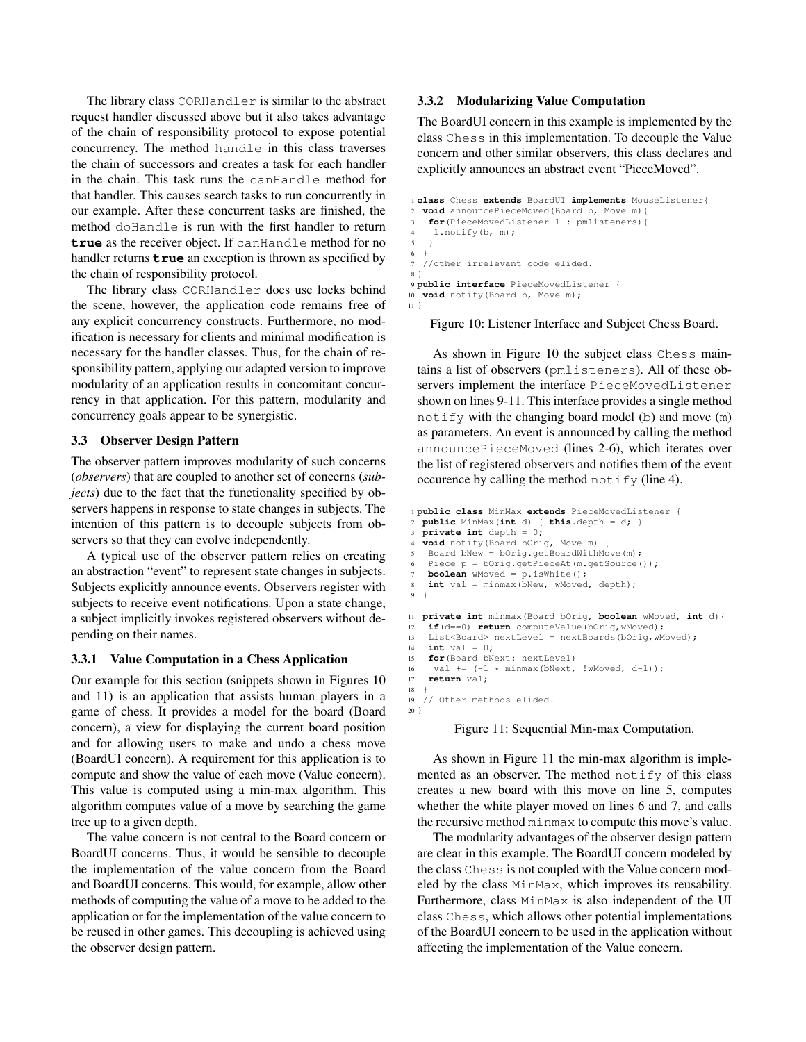The library class CORHandler is similar to the abstract request handler discussed above but it also takes advantage of the chain of responsibility protocol to expose potential concurrency. The method handle in this class traverses the chain of successors and creates a task for each handler in the chain. This task runs the canHandle method for that handler. This causes search tasks to run concurrently in our example. After these concurrent tasks are finished, the method doHandle is run with the first handler to return **true** as the receiver object. If canHandle method for no handler returns **true** an exception is thrown as specified by the chain of responsibility protocol.

The library class CORHandler does use locks behind the scene, however, the application code remains free of any explicit concurrency constructs. Furthermore, no modification is necessary for clients and minimal modification is necessary for the handler classes. Thus, for the chain of responsibility pattern, applying our adapted version to improve modularity of an application results in concomitant concurrency in that application. For this pattern, modularity and concurrency goals appear to be synergistic.

## 3.3 Observer Design Pattern

The observer pattern improves modularity of such concerns (*observers*) that are coupled to another set of concerns (*subjects*) due to the fact that the functionality specified by observers happens in response to state changes in subjects. The intention of this pattern is to decouple subjects from observers so that they can evolve independently.

A typical use of the observer pattern relies on creating an abstraction "event" to represent state changes in subjects. Subjects explicitly announce events. Observers register with subjects to receive event notifications. Upon a state change, a subject implicitly invokes registered observers without depending on their names.

## 3.3.1 Value Computation in a Chess Application

Our example for this section (snippets shown in Figures 10 and 11) is an application that assists human players in a game of chess. It provides a model for the board (Board concern), a view for displaying the current board position and for allowing users to make and undo a chess move (BoardUI concern). A requirement for this application is to compute and show the value of each move (Value concern). This value is computed using a min-max algorithm. This algorithm computes value of a move by searching the game tree up to a given depth.

The value concern is not central to the Board concern or BoardUI concerns. Thus, it would be sensible to decouple the implementation of the value concern from the Board and BoardUI concerns. This would, for example, allow other methods of computing the value of a move to be added to the application or for the implementation of the value concern to be reused in other games. This decoupling is achieved using the observer design pattern.

## 3.3.2 Modularizing Value Computation

The BoardUI concern in this example is implemented by the class Chess in this implementation. To decouple the Value concern and other similar observers, this class declares and explicitly announces an abstract event "PieceMoved".

```
1 class Chess extends BoardUI implements MouseListener{
  2 void announcePieceMoved(Board b, Move m){
   for(PieceMovedListener l : pmlisteners){
    1.notify(b, m);
   5 }
6 }
7 //other irrelevant code elided.
8 }
9 public interface PieceMovedListener {
10 void notify(Board b, Move m);
11 }
```
Figure 10: Listener Interface and Subject Chess Board.

As shown in Figure 10 the subject class Chess maintains a list of observers (pmlisteners). All of these observers implement the interface PieceMovedListener shown on lines 9-11. This interface provides a single method notify with the changing board model (b) and move (m) as parameters. An event is announced by calling the method announcePieceMoved (lines 2-6), which iterates over the list of registered observers and notifies them of the event occurence by calling the method notify (line 4).

```
1 public class MinMax extends PieceMovedListener {
2 public MinMax(int d) { this.depth = d; }
  private int depth = 0;
4 void notify(Board bOrig, Move m) {
5 Board bNew = bOrig.getBoardWithMove(m);
6 Piece p = bOrig.getPieceAt(m.getSource());
7 boolean wMoved = p.isWhite();
8 int val = minmax(bNew, wMoved, depth);
9 }
11 private int minmax(Board bOrig, boolean wMoved, int d){
12 if(d==0) return computeValue(bOrig,wMoved);
13 List<Board> nextLevel = nextBoards(bOrig,wMoved);
14 int \text{ val} = 0;
15 for(Board bNext: nextLevel)
16 val += (-1 * \text{minmax}(\text{bNext}, \text{!wMoved}, d-1));<br>17 return val:
   return val;
18 }
19 // Other methods elided.
20 }
```
Figure 11: Sequential Min-max Computation.

As shown in Figure 11 the min-max algorithm is implemented as an observer. The method notify of this class creates a new board with this move on line 5, computes whether the white player moved on lines 6 and 7, and calls the recursive method minmax to compute this move's value.

The modularity advantages of the observer design pattern are clear in this example. The BoardUI concern modeled by the class Chess is not coupled with the Value concern modeled by the class MinMax, which improves its reusability. Furthermore, class MinMax is also independent of the UI class Chess, which allows other potential implementations of the BoardUI concern to be used in the application without affecting the implementation of the Value concern.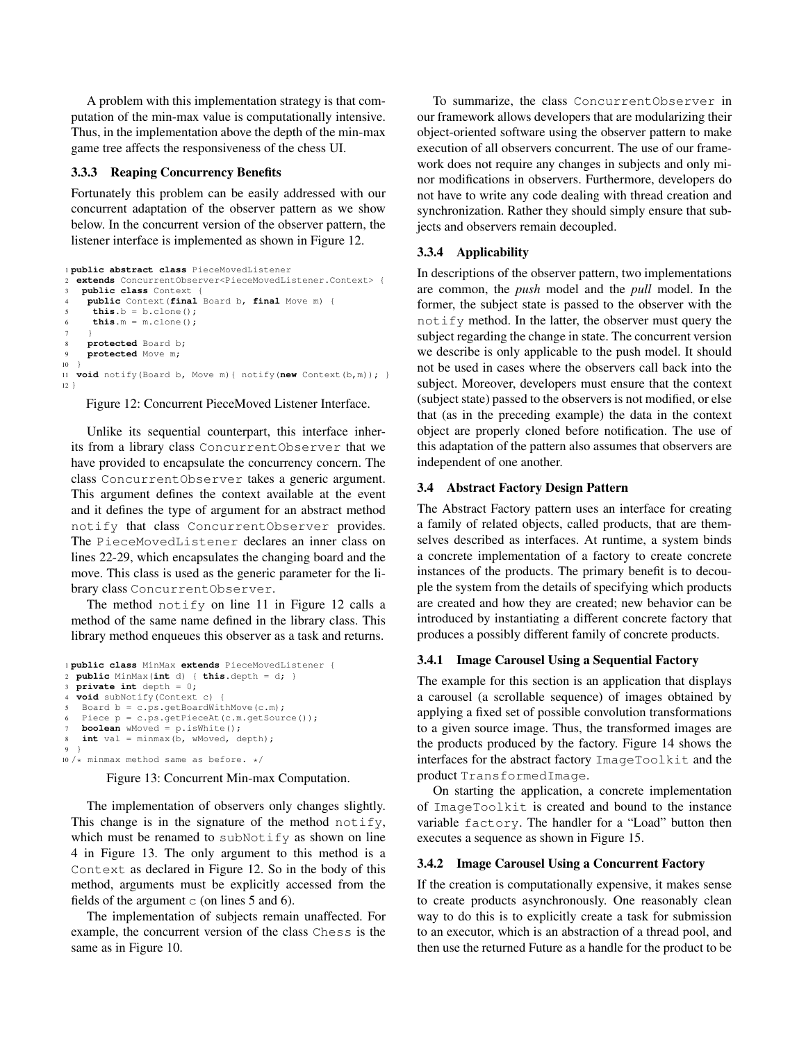A problem with this implementation strategy is that computation of the min-max value is computationally intensive. Thus, in the implementation above the depth of the min-max game tree affects the responsiveness of the chess UI.

## 3.3.3 Reaping Concurrency Benefits

Fortunately this problem can be easily addressed with our concurrent adaptation of the observer pattern as we show below. In the concurrent version of the observer pattern, the listener interface is implemented as shown in Figure 12.

```
1 public abstract class PieceMovedListener
2 extends ConcurrentObserver<PieceMovedListener.Context> {
   public class Context
    4 public Context(final Board b, final Move m) {
     this.b = b.close();
     this.m = m.close();
7 }
    8 protected Board b;
    protected Move m;
10\,11 void notify(Board b, Move m){ notify(new Context(b,m)); }
12 }
```


Unlike its sequential counterpart, this interface inherits from a library class ConcurrentObserver that we have provided to encapsulate the concurrency concern. The class ConcurrentObserver takes a generic argument. This argument defines the context available at the event and it defines the type of argument for an abstract method notify that class ConcurrentObserver provides. The PieceMovedListener declares an inner class on lines 22-29, which encapsulates the changing board and the move. This class is used as the generic parameter for the library class ConcurrentObserver.

The method notify on line 11 in Figure 12 calls a method of the same name defined in the library class. This library method enqueues this observer as a task and returns.

```
1 public class MinMax extends PieceMovedListener {
2 public MinMax(int d) { this.depth = d; }
  3 private int depth = 0;
  4 void subNotify(Context c) {
   5 Board b = c.ps.getBoardWithMove(c.m);
   Piece p = c.p.s.getPieceAt(c.m.getSource());
   boolean wMoved = p.isWhite();
   int val = minmax(b, wMoved, depth);
\overline{9}10 /* minmax method same as before. */
```
#### Figure 13: Concurrent Min-max Computation.

The implementation of observers only changes slightly. This change is in the signature of the method notify, which must be renamed to subNotify as shown on line 4 in Figure 13. The only argument to this method is a Context as declared in Figure 12. So in the body of this method, arguments must be explicitly accessed from the fields of the argument  $\circ$  (on lines 5 and 6).

The implementation of subjects remain unaffected. For example, the concurrent version of the class Chess is the same as in Figure 10.

To summarize, the class ConcurrentObserver in our framework allows developers that are modularizing their object-oriented software using the observer pattern to make execution of all observers concurrent. The use of our framework does not require any changes in subjects and only minor modifications in observers. Furthermore, developers do not have to write any code dealing with thread creation and synchronization. Rather they should simply ensure that subjects and observers remain decoupled.

#### 3.3.4 Applicability

In descriptions of the observer pattern, two implementations are common, the *push* model and the *pull* model. In the former, the subject state is passed to the observer with the notify method. In the latter, the observer must query the subject regarding the change in state. The concurrent version we describe is only applicable to the push model. It should not be used in cases where the observers call back into the subject. Moreover, developers must ensure that the context (subject state) passed to the observers is not modified, or else that (as in the preceding example) the data in the context object are properly cloned before notification. The use of this adaptation of the pattern also assumes that observers are independent of one another.

#### 3.4 Abstract Factory Design Pattern

The Abstract Factory pattern uses an interface for creating a family of related objects, called products, that are themselves described as interfaces. At runtime, a system binds a concrete implementation of a factory to create concrete instances of the products. The primary benefit is to decouple the system from the details of specifying which products are created and how they are created; new behavior can be introduced by instantiating a different concrete factory that produces a possibly different family of concrete products.

## 3.4.1 Image Carousel Using a Sequential Factory

The example for this section is an application that displays a carousel (a scrollable sequence) of images obtained by applying a fixed set of possible convolution transformations to a given source image. Thus, the transformed images are the products produced by the factory. Figure 14 shows the interfaces for the abstract factory ImageToolkit and the product TransformedImage.

On starting the application, a concrete implementation of ImageToolkit is created and bound to the instance variable factory. The handler for a "Load" button then executes a sequence as shown in Figure 15.

#### 3.4.2 Image Carousel Using a Concurrent Factory

If the creation is computationally expensive, it makes sense to create products asynchronously. One reasonably clean way to do this is to explicitly create a task for submission to an executor, which is an abstraction of a thread pool, and then use the returned Future as a handle for the product to be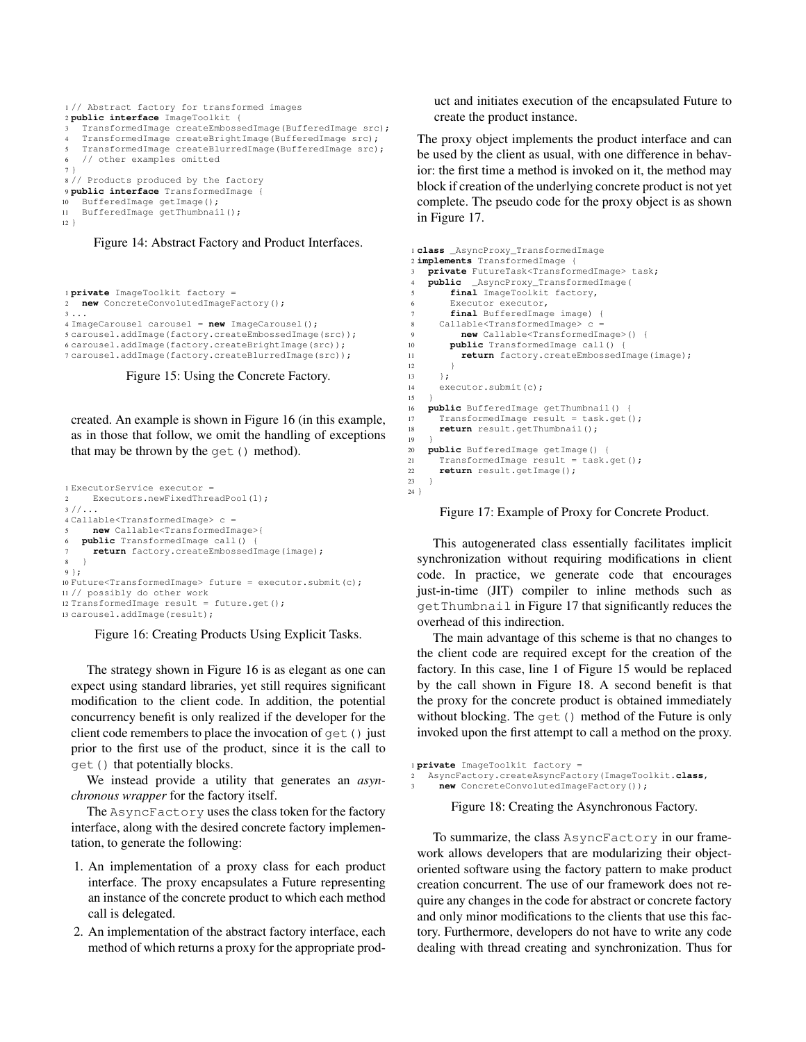```
1 // Abstract factory for transformed images
2 public interface ImageToolkit {
   3 TransformedImage createEmbossedImage(BufferedImage src);
   TransformedImage createBrightImage(BufferedImage src);
  TransformedImage createBlurredImage(BufferedImage src);
   // other examples omitted
7 }
8 // Products produced by the factory
9 public interface TransformedImage {
10 BufferedImage getImage();
11 BufferedImage getThumbnail();
12 }
```


```
1 private ImageToolkit factory =
2 new ConcreteConvolutedImageFactory();
3 ...
4 ImageCarousel carousel = new ImageCarousel();
5 carousel.addImage(factory.createEmbossedImage(src));
6 carousel.addImage(factory.createBrightImage(src));
7 carousel.addImage(factory.createBlurredImage(src));
```
Figure 15: Using the Concrete Factory.

created. An example is shown in Figure 16 (in this example, as in those that follow, we omit the handling of exceptions that may be thrown by the  $qet()$  method).

```
1 ExecutorService executor =
2 Executors.newFixedThreadPool(1);
3 //...
4 Callable<TransformedImage> c =
     5 new Callable<TransformedImage>{
  6 public TransformedImage call() {
     7 return factory.createEmbossedImage(image);
8 }
9 };
10 Future<TransformedImage> future = executor.submit(c);
11 // possibly do other work
12 TransformedImage result = future.get();
13 carousel.addImage(result);
```
Figure 16: Creating Products Using Explicit Tasks.

The strategy shown in Figure 16 is as elegant as one can expect using standard libraries, yet still requires significant modification to the client code. In addition, the potential concurrency benefit is only realized if the developer for the client code remembers to place the invocation of  $qet()$  just prior to the first use of the product, since it is the call to get() that potentially blocks.

We instead provide a utility that generates an *asynchronous wrapper* for the factory itself.

The AsyncFactory uses the class token for the factory interface, along with the desired concrete factory implementation, to generate the following:

- 1. An implementation of a proxy class for each product interface. The proxy encapsulates a Future representing an instance of the concrete product to which each method call is delegated.
- 2. An implementation of the abstract factory interface, each method of which returns a proxy for the appropriate prod-

uct and initiates execution of the encapsulated Future to create the product instance.

The proxy object implements the product interface and can be used by the client as usual, with one difference in behavior: the first time a method is invoked on it, the method may block if creation of the underlying concrete product is not yet complete. The pseudo code for the proxy object is as shown in Figure 17.

```
1 class _AsyncProxy_TransformedImage
2 implements TransformedImage {
3 private FutureTask<TransformedImage> task;
   4 public _AsyncProxy_TransformedImage(
       final ImageToolkit factory,
       Executor executor,
7 final BufferedImage image) {
8 Callable<TransformedImage> c =
9 new Callable<TransformedImage>() {
10 public TransformedImage call() {
11 return factory.createEmbossedImage(image);
12 }
13 };
14 executor.submit(c);
15 }
16 public BufferedImage getThumbnail() {
17 TransformedImage result = task.get();
18 return result.getThumbnail();
19 }
20 public BufferedImage getImage() {
21 TransformedImage result = task.get();
22 return result.getImage();
23 }
24 }
```
Figure 17: Example of Proxy for Concrete Product.

This autogenerated class essentially facilitates implicit synchronization without requiring modifications in client code. In practice, we generate code that encourages just-in-time (JIT) compiler to inline methods such as getThumbnail in Figure 17 that significantly reduces the overhead of this indirection.

The main advantage of this scheme is that no changes to the client code are required except for the creation of the factory. In this case, line 1 of Figure 15 would be replaced by the call shown in Figure 18. A second benefit is that the proxy for the concrete product is obtained immediately without blocking. The get () method of the Future is only invoked upon the first attempt to call a method on the proxy.

<sup>1</sup> **private** ImageToolkit factory = <sup>2</sup> AsyncFactory.createAsyncFactory(ImageToolkit.**class**, new ConcreteConvolutedImageFactory());

Figure 18: Creating the Asynchronous Factory.

To summarize, the class AsyncFactory in our framework allows developers that are modularizing their objectoriented software using the factory pattern to make product creation concurrent. The use of our framework does not require any changes in the code for abstract or concrete factory and only minor modifications to the clients that use this factory. Furthermore, developers do not have to write any code dealing with thread creating and synchronization. Thus for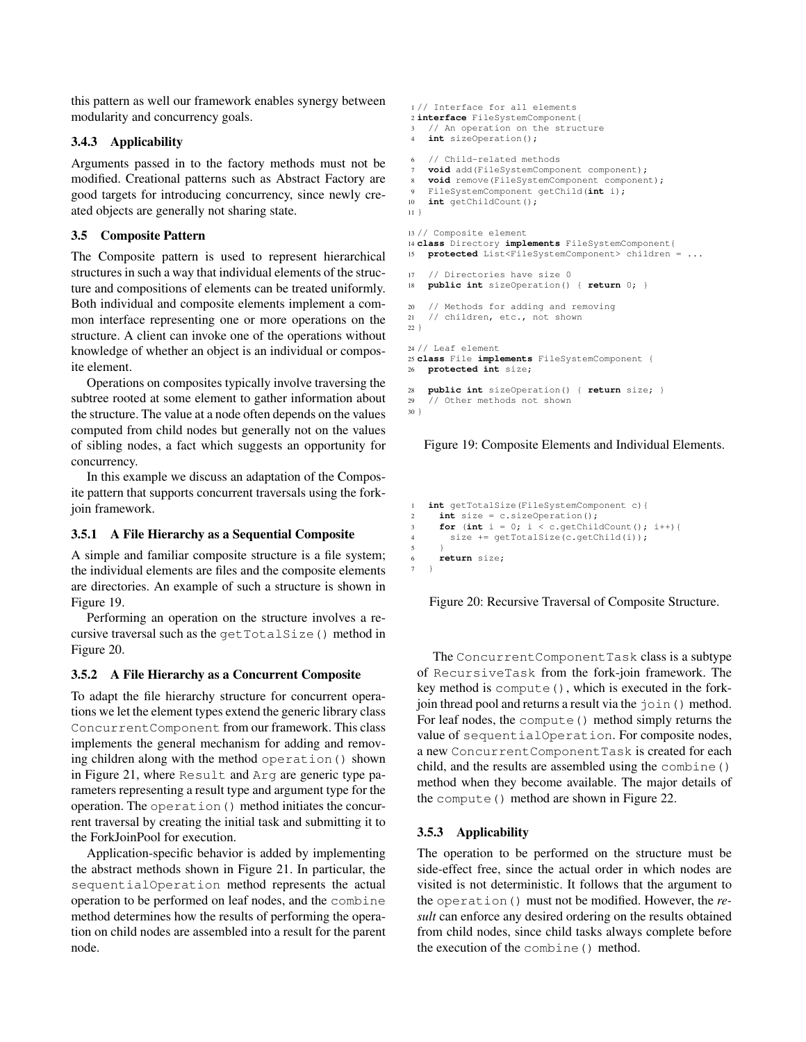this pattern as well our framework enables synergy between modularity and concurrency goals.

## 3.4.3 Applicability

Arguments passed in to the factory methods must not be modified. Creational patterns such as Abstract Factory are good targets for introducing concurrency, since newly created objects are generally not sharing state.

## 3.5 Composite Pattern

The Composite pattern is used to represent hierarchical structures in such a way that individual elements of the structure and compositions of elements can be treated uniformly. Both individual and composite elements implement a common interface representing one or more operations on the structure. A client can invoke one of the operations without knowledge of whether an object is an individual or composite element.

Operations on composites typically involve traversing the subtree rooted at some element to gather information about the structure. The value at a node often depends on the values computed from child nodes but generally not on the values of sibling nodes, a fact which suggests an opportunity for concurrency.

In this example we discuss an adaptation of the Composite pattern that supports concurrent traversals using the forkjoin framework.

## 3.5.1 A File Hierarchy as a Sequential Composite

A simple and familiar composite structure is a file system; the individual elements are files and the composite elements are directories. An example of such a structure is shown in Figure 19.

Performing an operation on the structure involves a recursive traversal such as the getTotalSize() method in Figure 20.

## 3.5.2 A File Hierarchy as a Concurrent Composite

To adapt the file hierarchy structure for concurrent operations we let the element types extend the generic library class ConcurrentComponent from our framework. This class implements the general mechanism for adding and removing children along with the method operation() shown in Figure 21, where Result and Arg are generic type parameters representing a result type and argument type for the operation. The operation() method initiates the concurrent traversal by creating the initial task and submitting it to the ForkJoinPool for execution.

Application-specific behavior is added by implementing the abstract methods shown in Figure 21. In particular, the sequentialOperation method represents the actual operation to be performed on leaf nodes, and the combine method determines how the results of performing the operation on child nodes are assembled into a result for the parent node.

```
1 // Interface for all elements
2 interface FileSystemComponent{
3 // An operation on the structure
   int sizeOperation();
6 // Child-related methods
    7 void add(FileSystemComponent component);
8 void remove(FileSystemComponent component);
9 FileSystemComponent getChild(int i);
   int getChildCount();
11 }
13 // Composite element
14 class Directory implements FileSystemComponent{
15 protected List<FileSystemComponent> children = ...
17 // Directories have size 0
18 public int sizeOperation() { return 0; }
20 // Methods for adding and removing
21 // children, etc., not shown
22 }
24 // Leaf element
25 class File implements FileSystemComponent {
26 protected int size;
28 public int sizeOperation() { return size; }
29 // Other methods not shown
30 }
```


```
1 int getTotalSize(FileSystemComponent c){
2 int size = c.sizeOperation();
for (int i = 0; i < c, getChildCount(); i^{++}}{
4 size += getTotalSize(c.getChild(i));
5 }
6 return size;
7 }
```
Figure 20: Recursive Traversal of Composite Structure.

The ConcurrentComponentTask class is a subtype of RecursiveTask from the fork-join framework. The key method is compute(), which is executed in the forkjoin thread pool and returns a result via the join() method. For leaf nodes, the compute() method simply returns the value of sequentialOperation. For composite nodes, a new ConcurrentComponentTask is created for each child, and the results are assembled using the combine() method when they become available. The major details of the compute() method are shown in Figure 22.

## 3.5.3 Applicability

The operation to be performed on the structure must be side-effect free, since the actual order in which nodes are visited is not deterministic. It follows that the argument to the operation() must not be modified. However, the *result* can enforce any desired ordering on the results obtained from child nodes, since child tasks always complete before the execution of the combine() method.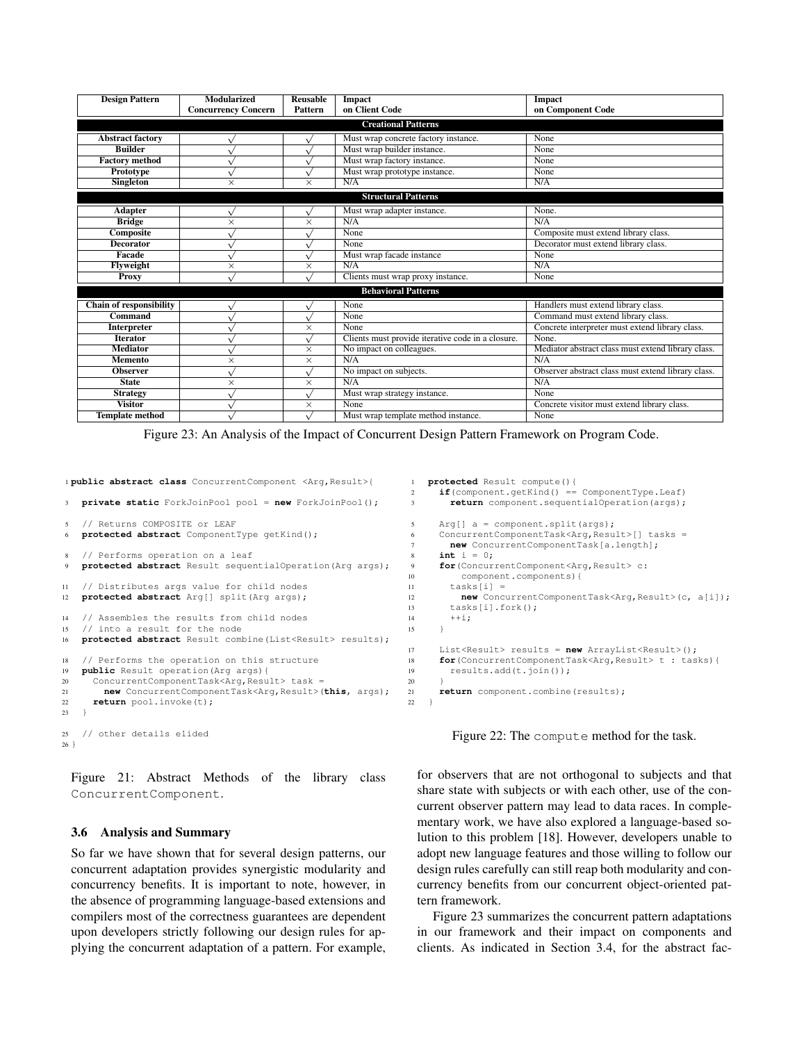| <b>Design Pattern</b>          | <b>Modularized</b><br><b>Concurrency Concern</b> | <b>Reusable</b><br>Pattern | <b>Impact</b><br>on Client Code                   | <b>Impact</b><br>on Component Code                 |  |  |  |
|--------------------------------|--------------------------------------------------|----------------------------|---------------------------------------------------|----------------------------------------------------|--|--|--|
|                                |                                                  |                            |                                                   |                                                    |  |  |  |
| <b>Creational Patterns</b>     |                                                  |                            |                                                   |                                                    |  |  |  |
| <b>Abstract factory</b>        |                                                  |                            | Must wrap concrete factory instance.              | None                                               |  |  |  |
| <b>Builder</b>                 |                                                  |                            | Must wrap builder instance.                       | None                                               |  |  |  |
| <b>Factory</b> method          |                                                  |                            | Must wrap factory instance.                       | None                                               |  |  |  |
| Prototype                      |                                                  |                            | Must wrap prototype instance.                     | None                                               |  |  |  |
| <b>Singleton</b>               | $\times$                                         | $\times$                   | N/A                                               | N/A                                                |  |  |  |
| <b>Structural Patterns</b>     |                                                  |                            |                                                   |                                                    |  |  |  |
| Adapter                        |                                                  |                            | Must wrap adapter instance.                       | None.                                              |  |  |  |
| <b>Bridge</b>                  | $\times$                                         | $\times$                   | N/A                                               | N/A                                                |  |  |  |
| Composite                      |                                                  |                            | None                                              | Composite must extend library class.               |  |  |  |
| <b>Decorator</b>               |                                                  |                            | None                                              | Decorator must extend library class.               |  |  |  |
| Facade                         |                                                  |                            | Must wrap facade instance                         | None                                               |  |  |  |
| <b>Flyweight</b>               | $\times$                                         | $\times$                   | N/A                                               | N/A                                                |  |  |  |
| <b>Proxy</b>                   |                                                  |                            | Clients must wrap proxy instance.                 | None                                               |  |  |  |
| <b>Behavioral Patterns</b>     |                                                  |                            |                                                   |                                                    |  |  |  |
| <b>Chain of responsibility</b> |                                                  |                            | None                                              | Handlers must extend library class.                |  |  |  |
| Command                        |                                                  |                            | None                                              | Command must extend library class.                 |  |  |  |
| <b>Interpreter</b>             |                                                  | $\times$                   | None                                              | Concrete interpreter must extend library class.    |  |  |  |
| <b>Iterator</b>                |                                                  |                            | Clients must provide iterative code in a closure. | None.                                              |  |  |  |
| <b>Mediator</b>                |                                                  | $\times$                   | No impact on colleagues.                          | Mediator abstract class must extend library class. |  |  |  |
| <b>Memento</b>                 | $\times$                                         | $\times$                   | N/A                                               | N/A                                                |  |  |  |
| <b>Observer</b>                |                                                  |                            | No impact on subjects.                            | Observer abstract class must extend library class. |  |  |  |
| <b>State</b>                   | $\times$                                         | $\times$                   | N/A                                               | N/A                                                |  |  |  |
| <b>Strategy</b>                |                                                  |                            | Must wrap strategy instance.                      | None                                               |  |  |  |
| <b>Visitor</b>                 |                                                  | $\times$                   | None                                              | Concrete visitor must extend library class.        |  |  |  |
| <b>Template method</b>         |                                                  |                            | Must wrap template method instance.               | None                                               |  |  |  |

Figure 23: An Analysis of the Impact of Concurrent Design Pattern Framework on Program Code.

```
1 public abstract class ConcurrentComponent <Arg,Result>{
   3 private static ForkJoinPool pool = new ForkJoinPool();
    5 // Returns COMPOSITE or LEAF
   6 protected abstract ComponentType getKind();
    // Performs operation on a leaf
   9 protected abstract Result sequentialOperation(Arg args);
11 // Distributes args value for child nodes
12 protected abstract Arg[] split(Arg args);
14 // Assembles the results from child nodes
15 // into a result for the node
16 protected abstract Result combine(List<Result> results);
18 // Performs the operation on this structure
19 public Result operation(Arg args){
20 ConcurrentComponentTask<Arg,Result> task =
21 new ConcurrentComponentTask<Arg,Result>(this, args);<br>22 return pool.invoke(t):
     return pool.invoke(t);
23 }
25 // other details elided
26 }
                                                                  14 + i;15 }
                                                                 20 }
                                                                 22
```
Figure 21: Abstract Methods of the library class ConcurrentComponent.

#### 3.6 Analysis and Summary

So far we have shown that for several design patterns, our concurrent adaptation provides synergistic modularity and concurrency benefits. It is important to note, however, in the absence of programming language-based extensions and compilers most of the correctness guarantees are dependent upon developers strictly following our design rules for applying the concurrent adaptation of a pattern. For example,

```
1 protected Result compute(){
     if(component.getKind() == ComponentType.Leaf)
3 return component.sequentialOperation(args);
     Arg[] a = component.split(args);ConcurrentComponentTask<Arg,Result>[] tasks =
       new ConcurrentComponentTask[a.length];
     int i = 0;for (ConcurrentComponent<Arg, Result> c:
10 component.components){
11 tasks[i] =
12 new ConcurrentComponentTask<Arg, Result>(c, a[i]);
13 tasks[i].fork();
17 List<Result> results = new ArrayList<Result>();
18 for(ConcurrentComponentTask<Arg,Result> t : tasks){<br>19 results.add(t.ioin()):
       19 results.add(t.join());
21 return component.combine(results);
```
Figure 22: The compute method for the task.

for observers that are not orthogonal to subjects and that share state with subjects or with each other, use of the concurrent observer pattern may lead to data races. In complementary work, we have also explored a language-based solution to this problem [18]. However, developers unable to adopt new language features and those willing to follow our design rules carefully can still reap both modularity and concurrency benefits from our concurrent object-oriented pattern framework.

Figure 23 summarizes the concurrent pattern adaptations in our framework and their impact on components and clients. As indicated in Section 3.4, for the abstract fac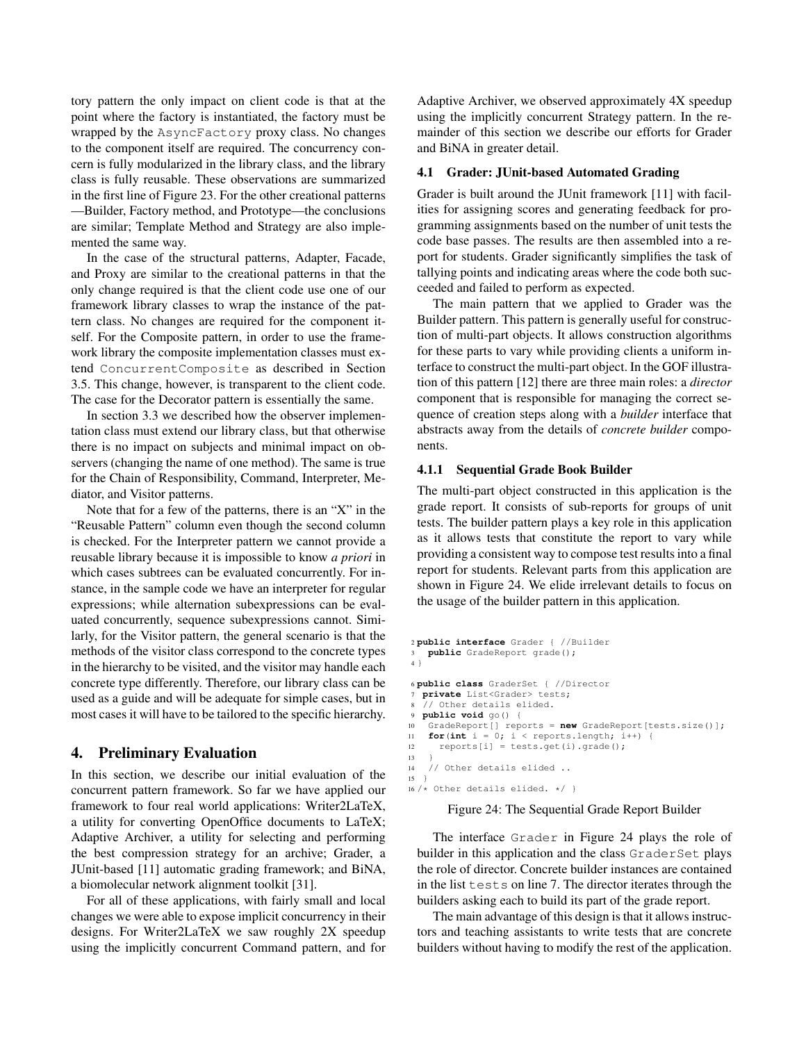tory pattern the only impact on client code is that at the point where the factory is instantiated, the factory must be wrapped by the AsyncFactory proxy class. No changes to the component itself are required. The concurrency concern is fully modularized in the library class, and the library class is fully reusable. These observations are summarized in the first line of Figure 23. For the other creational patterns —Builder, Factory method, and Prototype—the conclusions are similar; Template Method and Strategy are also implemented the same way.

In the case of the structural patterns, Adapter, Facade, and Proxy are similar to the creational patterns in that the only change required is that the client code use one of our framework library classes to wrap the instance of the pattern class. No changes are required for the component itself. For the Composite pattern, in order to use the framework library the composite implementation classes must extend ConcurrentComposite as described in Section 3.5. This change, however, is transparent to the client code. The case for the Decorator pattern is essentially the same.

In section 3.3 we described how the observer implementation class must extend our library class, but that otherwise there is no impact on subjects and minimal impact on observers (changing the name of one method). The same is true for the Chain of Responsibility, Command, Interpreter, Mediator, and Visitor patterns.

Note that for a few of the patterns, there is an "X" in the "Reusable Pattern" column even though the second column is checked. For the Interpreter pattern we cannot provide a reusable library because it is impossible to know *a priori* in which cases subtrees can be evaluated concurrently. For instance, in the sample code we have an interpreter for regular expressions; while alternation subexpressions can be evaluated concurrently, sequence subexpressions cannot. Similarly, for the Visitor pattern, the general scenario is that the methods of the visitor class correspond to the concrete types in the hierarchy to be visited, and the visitor may handle each concrete type differently. Therefore, our library class can be used as a guide and will be adequate for simple cases, but in most cases it will have to be tailored to the specific hierarchy.

## 4. Preliminary Evaluation

In this section, we describe our initial evaluation of the concurrent pattern framework. So far we have applied our framework to four real world applications: Writer2LaTeX, a utility for converting OpenOffice documents to LaTeX; Adaptive Archiver, a utility for selecting and performing the best compression strategy for an archive; Grader, a JUnit-based [11] automatic grading framework; and BiNA, a biomolecular network alignment toolkit [31].

For all of these applications, with fairly small and local changes we were able to expose implicit concurrency in their designs. For Writer2LaTeX we saw roughly 2X speedup using the implicitly concurrent Command pattern, and for Adaptive Archiver, we observed approximately 4X speedup using the implicitly concurrent Strategy pattern. In the remainder of this section we describe our efforts for Grader and BiNA in greater detail.

#### 4.1 Grader: JUnit-based Automated Grading

Grader is built around the JUnit framework [11] with facilities for assigning scores and generating feedback for programming assignments based on the number of unit tests the code base passes. The results are then assembled into a report for students. Grader significantly simplifies the task of tallying points and indicating areas where the code both succeeded and failed to perform as expected.

The main pattern that we applied to Grader was the Builder pattern. This pattern is generally useful for construction of multi-part objects. It allows construction algorithms for these parts to vary while providing clients a uniform interface to construct the multi-part object. In the GOF illustration of this pattern [12] there are three main roles: a *director* component that is responsible for managing the correct sequence of creation steps along with a *builder* interface that abstracts away from the details of *concrete builder* components.

#### 4.1.1 Sequential Grade Book Builder

The multi-part object constructed in this application is the grade report. It consists of sub-reports for groups of unit tests. The builder pattern plays a key role in this application as it allows tests that constitute the report to vary while providing a consistent way to compose test results into a final report for students. Relevant parts from this application are shown in Figure 24. We elide irrelevant details to focus on the usage of the builder pattern in this application.

```
2 public interface Grader { //Builder
   3 public GradeReport grade();
4 }
6 public class GraderSet { //Director
  7 private List<Grader> tests;
  // Other details elided.
9 public void go() {
10 GradeReport[] reports = new GradeReport[tests.size()];<br>11 for(int i = 0; i < reports.length; i++) {
   for (int i = 0; i < reports.length; i++) {
12 reports[i] = tests.get(i).grade();
13 }
14 // Other details elided ..
15 }
16 /* Other details elided. */ }
```
Figure 24: The Sequential Grade Report Builder

The interface Grader in Figure 24 plays the role of builder in this application and the class GraderSet plays the role of director. Concrete builder instances are contained in the list tests on line 7. The director iterates through the builders asking each to build its part of the grade report.

The main advantage of this design is that it allows instructors and teaching assistants to write tests that are concrete builders without having to modify the rest of the application.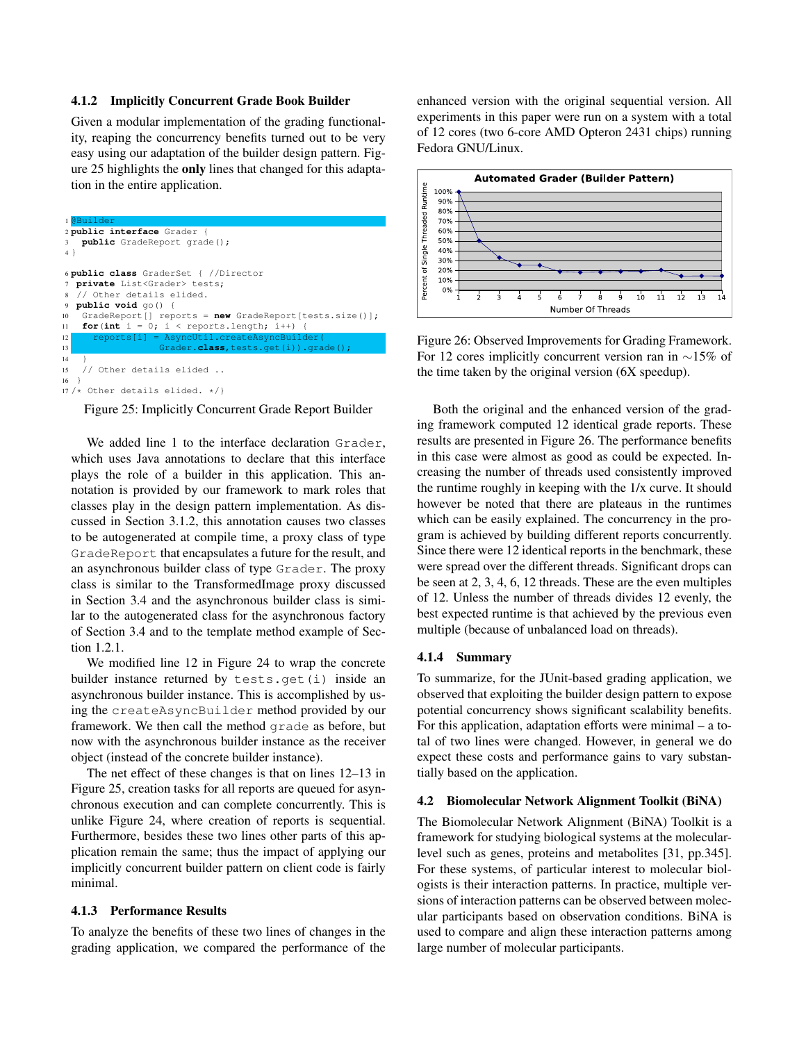#### 4.1.2 Implicitly Concurrent Grade Book Builder

Given a modular implementation of the grading functionality, reaping the concurrency benefits turned out to be very easy using our adaptation of the builder design pattern. Figure 25 highlights the only lines that changed for this adaptation in the entire application.



#### Figure 25: Implicitly Concurrent Grade Report Builder

We added line 1 to the interface declaration Grader, which uses Java annotations to declare that this interface plays the role of a builder in this application. This annotation is provided by our framework to mark roles that classes play in the design pattern implementation. As discussed in Section 3.1.2, this annotation causes two classes to be autogenerated at compile time, a proxy class of type GradeReport that encapsulates a future for the result, and an asynchronous builder class of type Grader. The proxy class is similar to the TransformedImage proxy discussed in Section 3.4 and the asynchronous builder class is similar to the autogenerated class for the asynchronous factory of Section 3.4 and to the template method example of Section 1.2.1.

We modified line 12 in Figure 24 to wrap the concrete builder instance returned by tests.get(i) inside an asynchronous builder instance. This is accomplished by using the createAsyncBuilder method provided by our framework. We then call the method grade as before, but now with the asynchronous builder instance as the receiver object (instead of the concrete builder instance).

The net effect of these changes is that on lines 12–13 in Figure 25, creation tasks for all reports are queued for asynchronous execution and can complete concurrently. This is unlike Figure 24, where creation of reports is sequential. Furthermore, besides these two lines other parts of this application remain the same; thus the impact of applying our implicitly concurrent builder pattern on client code is fairly minimal.

## 4.1.3 Performance Results

To analyze the benefits of these two lines of changes in the grading application, we compared the performance of the

enhanced version with the original sequential version. All experiments in this paper were run on a system with a total of 12 cores (two 6-core AMD Opteron 2431 chips) running Fedora GNU/Linux.



Figure 26: Observed Improvements for Grading Framework. For 12 cores implicitly concurrent version ran in ∼15% of the time taken by the original version (6X speedup).

Both the original and the enhanced version of the grading framework computed 12 identical grade reports. These results are presented in Figure 26. The performance benefits in this case were almost as good as could be expected. Increasing the number of threads used consistently improved the runtime roughly in keeping with the 1/x curve. It should however be noted that there are plateaus in the runtimes which can be easily explained. The concurrency in the program is achieved by building different reports concurrently. Since there were 12 identical reports in the benchmark, these were spread over the different threads. Significant drops can be seen at 2, 3, 4, 6, 12 threads. These are the even multiples of 12. Unless the number of threads divides 12 evenly, the best expected runtime is that achieved by the previous even multiple (because of unbalanced load on threads).

## 4.1.4 Summary

To summarize, for the JUnit-based grading application, we observed that exploiting the builder design pattern to expose potential concurrency shows significant scalability benefits. For this application, adaptation efforts were minimal – a total of two lines were changed. However, in general we do expect these costs and performance gains to vary substantially based on the application.

#### 4.2 Biomolecular Network Alignment Toolkit (BiNA)

The Biomolecular Network Alignment (BiNA) Toolkit is a framework for studying biological systems at the molecularlevel such as genes, proteins and metabolites [31, pp.345]. For these systems, of particular interest to molecular biologists is their interaction patterns. In practice, multiple versions of interaction patterns can be observed between molecular participants based on observation conditions. BiNA is used to compare and align these interaction patterns among large number of molecular participants.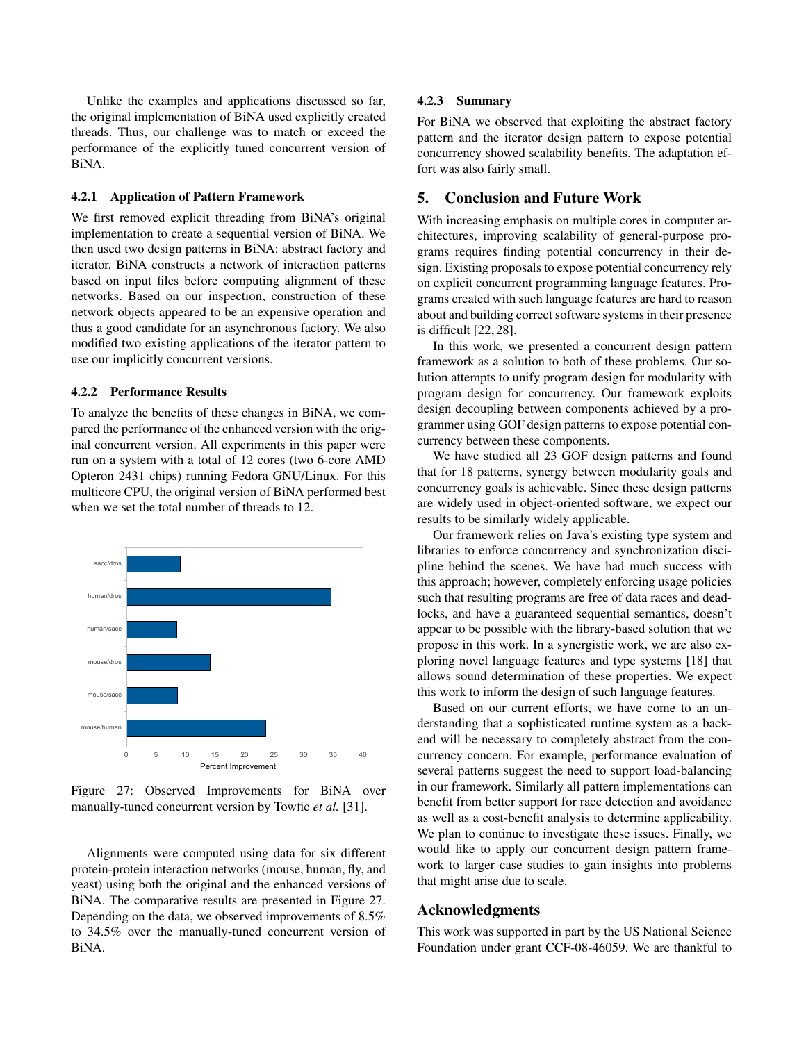Unlike the examples and applications discussed so far, the original implementation of BiNA used explicitly created threads. Thus, our challenge was to match or exceed the performance of the explicitly tuned concurrent version of BiNA.

## 4.2.1 Application of Pattern Framework

We first removed explicit threading from BiNA's original implementation to create a sequential version of BiNA. We then used two design patterns in BiNA: abstract factory and iterator. BiNA constructs a network of interaction patterns based on input files before computing alignment of these networks. Based on our inspection, construction of these network objects appeared to be an expensive operation and thus a good candidate for an asynchronous factory. We also modified two existing applications of the iterator pattern to use our implicitly concurrent versions.

## 4.2.2 Performance Results

To analyze the benefits of these changes in BiNA, we compared the performance of the enhanced version with the original concurrent version. All experiments in this paper were run on a system with a total of 12 cores (two 6-core AMD Opteron 2431 chips) running Fedora GNU/Linux. For this multicore CPU, the original version of BiNA performed best when we set the total number of threads to 12.



Figure 27: Observed Improvements for BiNA over manually-tuned concurrent version by Towfic *et al.* [31].

Alignments were computed using data for six different protein-protein interaction networks (mouse, human, fly, and yeast) using both the original and the enhanced versions of BiNA. The comparative results are presented in Figure 27. Depending on the data, we observed improvements of 8.5% to 34.5% over the manually-tuned concurrent version of BiNA.

## 4.2.3 Summary

For BiNA we observed that exploiting the abstract factory pattern and the iterator design pattern to expose potential concurrency showed scalability benefits. The adaptation effort was also fairly small.

## 5. Conclusion and Future Work

With increasing emphasis on multiple cores in computer architectures, improving scalability of general-purpose programs requires finding potential concurrency in their design. Existing proposals to expose potential concurrency rely on explicit concurrent programming language features. Programs created with such language features are hard to reason about and building correct software systems in their presence is difficult [22, 28].

In this work, we presented a concurrent design pattern framework as a solution to both of these problems. Our solution attempts to unify program design for modularity with program design for concurrency. Our framework exploits design decoupling between components achieved by a programmer using GOF design patterns to expose potential concurrency between these components.

We have studied all 23 GOF design patterns and found that for 18 patterns, synergy between modularity goals and concurrency goals is achievable. Since these design patterns are widely used in object-oriented software, we expect our results to be similarly widely applicable.

Our framework relies on Java's existing type system and libraries to enforce concurrency and synchronization discipline behind the scenes. We have had much success with this approach; however, completely enforcing usage policies such that resulting programs are free of data races and deadlocks, and have a guaranteed sequential semantics, doesn't appear to be possible with the library-based solution that we propose in this work. In a synergistic work, we are also exploring novel language features and type systems [18] that allows sound determination of these properties. We expect this work to inform the design of such language features.

Based on our current efforts, we have come to an understanding that a sophisticated runtime system as a backend will be necessary to completely abstract from the concurrency concern. For example, performance evaluation of several patterns suggest the need to support load-balancing in our framework. Similarly all pattern implementations can benefit from better support for race detection and avoidance as well as a cost-benefit analysis to determine applicability. We plan to continue to investigate these issues. Finally, we would like to apply our concurrent design pattern framework to larger case studies to gain insights into problems that might arise due to scale.

## Acknowledgments

This work was supported in part by the US National Science Foundation under grant CCF-08-46059. We are thankful to